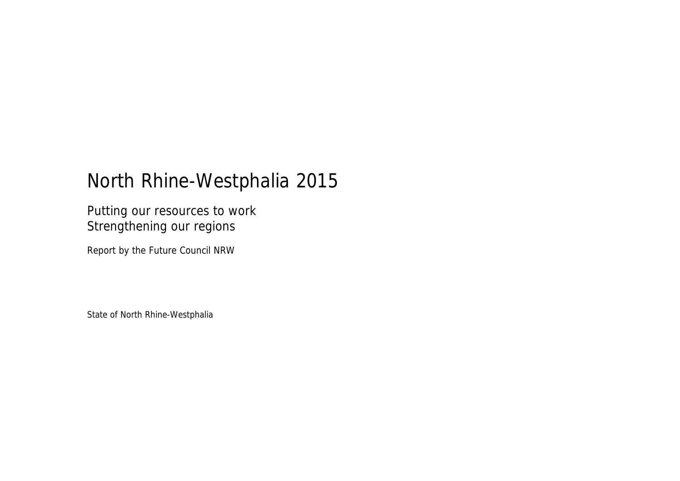# North Rhine-Westphalia 2015

Putting our resources to work Strengthening our regions

Report by the Future Council NRW

State of North Rhine-Westphalia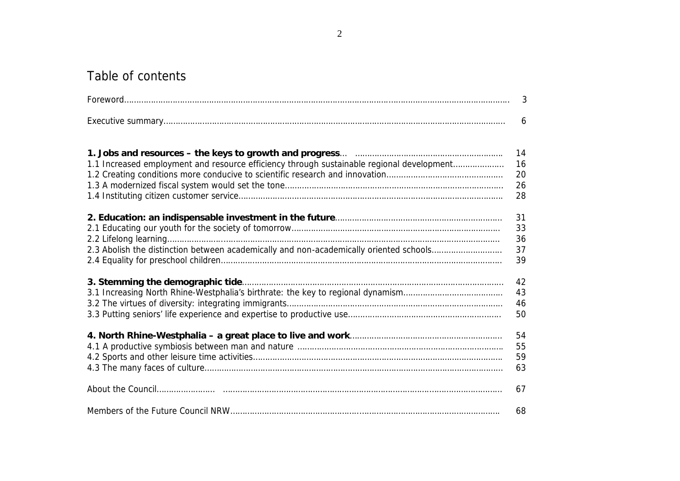# Table of contents

|                                                                                           | $\mathfrak{Z}$ |
|-------------------------------------------------------------------------------------------|----------------|
|                                                                                           | 6              |
|                                                                                           | 14             |
| 1.1 Increased employment and resource efficiency through sustainable regional development | 16             |
|                                                                                           | 20             |
|                                                                                           | 26             |
|                                                                                           | 28             |
|                                                                                           | 31             |
|                                                                                           | 33             |
|                                                                                           | 36             |
| 2.3 Abolish the distinction between academically and non-academically oriented schools    | 37             |
|                                                                                           | 39             |
|                                                                                           | 42             |
|                                                                                           | 43             |
|                                                                                           | 46             |
|                                                                                           | 50             |
|                                                                                           | 54             |
|                                                                                           | 55             |
|                                                                                           | 59             |
|                                                                                           | 63             |
|                                                                                           | 67             |
|                                                                                           | 68             |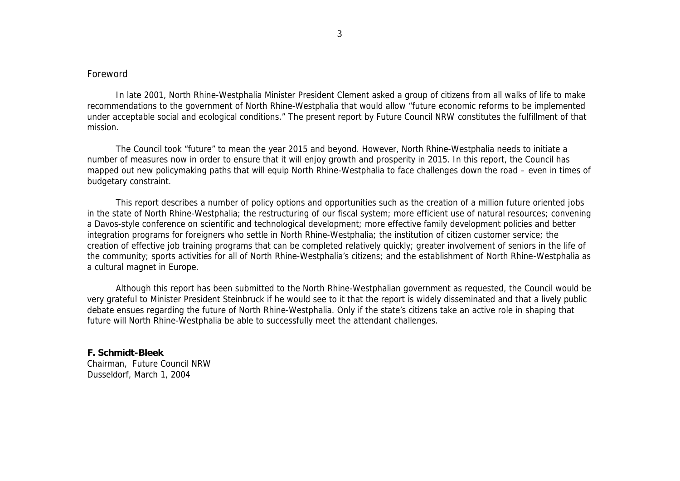## Foreword

In late 2001, North Rhine-Westphalia Minister President Clement asked a group of citizens from all walks of life to make recommendations to the government of North Rhine-Westphalia that would allow "future economic reforms to be implemented under acceptable social and ecological conditions." The present report by Future Council NRW constitutes the fulfillment of that mission.

The Council took "future" to mean the year 2015 and beyond. However, North Rhine-Westphalia needs to initiate a number of measures now in order to ensure that it will enjoy growth and prosperity in 2015. In this report, the Council has mapped out new policymaking paths that will equip North Rhine-Westphalia to face challenges down the road – even in times of budgetary constraint.

This report describes a number of policy options and opportunities such as the creation of a million future oriented jobs in the state of North Rhine-Westphalia; the restructuring of our fiscal system; more efficient use of natural resources; convening a Davos-style conference on scientific and technological development; more effective family development policies and better integration programs for foreigners who settle in North Rhine-Westphalia; the institution of citizen customer service; the creation of effective job training programs that can be completed relatively quickly; greater involvement of seniors in the life of the community; sports activities for all of North Rhine-Westphalia's citizens; and the establishment of North Rhine-Westphalia as a cultural magnet in Europe.

Although this report has been submitted to the North Rhine-Westphalian government as requested, the Council would be very grateful to Minister President Steinbruck if he would see to it that the report is widely disseminated and that a lively public debate ensues regarding the future of North Rhine-Westphalia. Only if the state's citizens take an active role in shaping that future will North Rhine-Westphalia be able to successfully meet the attendant challenges.

**F. Schmidt-Bleek** Chairman, Future Council NRW Dusseldorf, March 1, 2004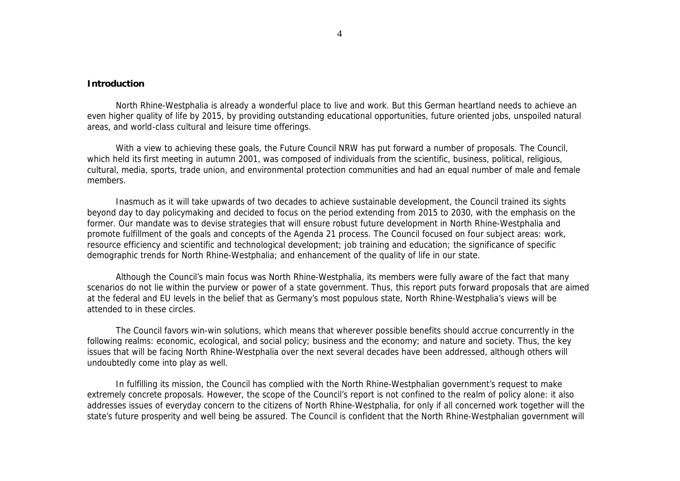## **Introduction**

North Rhine-Westphalia is already a wonderful place to live and work. But this German heartland needs to achieve an even higher quality of life by 2015, by providing outstanding educational opportunities, future oriented jobs, unspoiled natural areas, and world-class cultural and leisure time offerings.

With a view to achieving these goals, the Future Council NRW has put forward a number of proposals. The Council, which held its first meeting in autumn 2001, was composed of individuals from the scientific, business, political, religious, cultural, media, sports, trade union, and environmental protection communities and had an equal number of male and female members.

Inasmuch as it will take upwards of two decades to achieve sustainable development, the Council trained its sights beyond day to day policymaking and decided to focus on the period extending from 2015 to 2030, with the emphasis on the former. Our mandate was to devise strategies that will ensure robust future development in North Rhine-Westphalia and promote fulfillment of the goals and concepts of the Agenda 21 process. The Council focused on four subject areas: work, resource efficiency and scientific and technological development; job training and education; the significance of specific demographic trends for North Rhine-Westphalia; and enhancement of the quality of life in our state.

Although the Council's main focus was North Rhine-Westphalia, its members were fully aware of the fact that many scenarios do not lie within the purview or power of a state government. Thus, this report puts forward proposals that are aimed at the federal and EU levels in the belief that as Germany's most populous state, North Rhine-Westphalia's views will be attended to in these circles.

The Council favors win-win solutions, which means that wherever possible benefits should accrue concurrently in the following realms: economic, ecological, and social policy; business and the economy; and nature and society. Thus, the key issues that will be facing North Rhine-Westphalia over the next several decades have been addressed, although others will undoubtedly come into play as well.

In fulfilling its mission, the Council has complied with the North Rhine-Westphalian government's request to make extremely concrete proposals. However, the scope of the Council's report is not confined to the realm of policy alone: it also addresses issues of everyday concern to the citizens of North Rhine-Westphalia, for only if all concerned work together will the state's future prosperity and well being be assured. The Council is confident that the North Rhine-Westphalian government will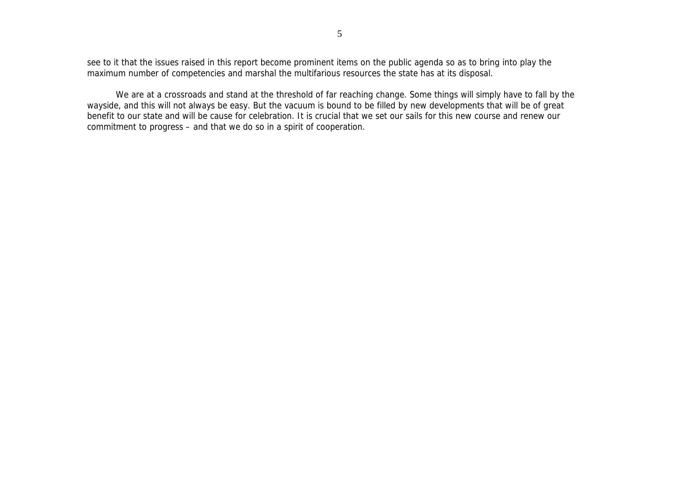see to it that the issues raised in this report become prominent items on the public agenda so as to bring into play the maximum number of competencies and marshal the multifarious resources the state has at its disposal.

We are at a crossroads and stand at the threshold of far reaching change. Some things will simply have to fall by the wayside, and this will not always be easy. But the vacuum is bound to be filled by new developments that will be of great benefit to our state and will be cause for celebration. It is crucial that we set our sails for this new course and renew our commitment to progress – and that we do so in a spirit of cooperation.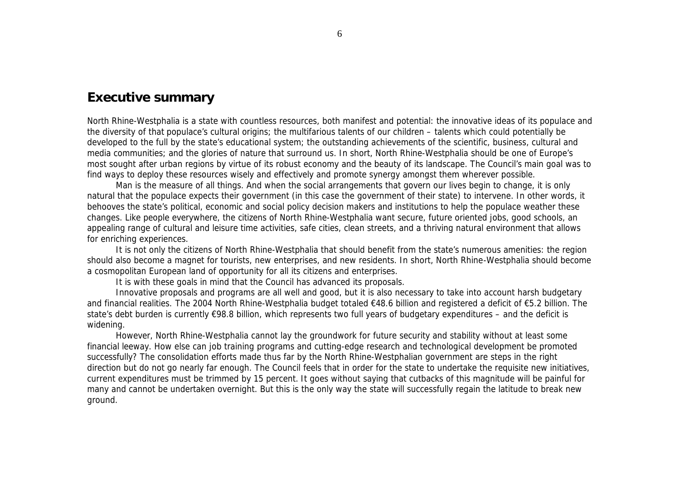## **Executive summary**

North Rhine-Westphalia is a state with countless resources, both manifest and potential: the innovative ideas of its populace and the diversity of that populace's cultural origins; the multifarious talents of our children – talents which could potentially be developed to the full by the state's educational system; the outstanding achievements of the scientific, business, cultural and media communities; and the glories of nature that surround us. In short, North Rhine-Westphalia should be one of Europe's most sought after urban regions by virtue of its robust economy and the beauty of its landscape. The Council's main goal was to find ways to deploy these resources wisely and effectively and promote synergy amongst them wherever possible.

Man is the measure of all things. And when the social arrangements that govern our lives begin to change, it is only natural that the populace expects their government (in this case the government of their state) to intervene. In other words, it behooves the state's political, economic and social policy decision makers and institutions to help the populace weather these changes. Like people everywhere, the citizens of North Rhine-Westphalia want secure, future oriented jobs, good schools, an appealing range of cultural and leisure time activities, safe cities, clean streets, and a thriving natural environment that allows for enriching experiences.

It is not only the citizens of North Rhine-Westphalia that should benefit from the state's numerous amenities: the region should also become a magnet for tourists, new enterprises, and new residents. In short, North Rhine-Westphalia should become a cosmopolitan European land of opportunity for all its citizens and enterprises.

It is with these goals in mind that the Council has advanced its proposals.

Innovative proposals and programs are all well and good, but it is also necessary to take into account harsh budgetary and financial realities. The 2004 North Rhine-Westphalia budget totaled €48.6 billion and registered a deficit of €5.2 billion. The state's debt burden is currently €98.8 billion, which represents two full years of budgetary expenditures – and the deficit is widening.

However, North Rhine-Westphalia cannot lay the groundwork for future security and stability without at least some financial leeway. How else can job training programs and cutting-edge research and technological development be promoted successfully? The consolidation efforts made thus far by the North Rhine-Westphalian government are steps in the right direction but do not go nearly far enough. The Council feels that in order for the state to undertake the requisite new initiatives, current expenditures must be trimmed by 15 percent. It goes without saying that cutbacks of this magnitude will be painful for many and cannot be undertaken overnight. But this is the only way the state will successfully regain the latitude to break new ground.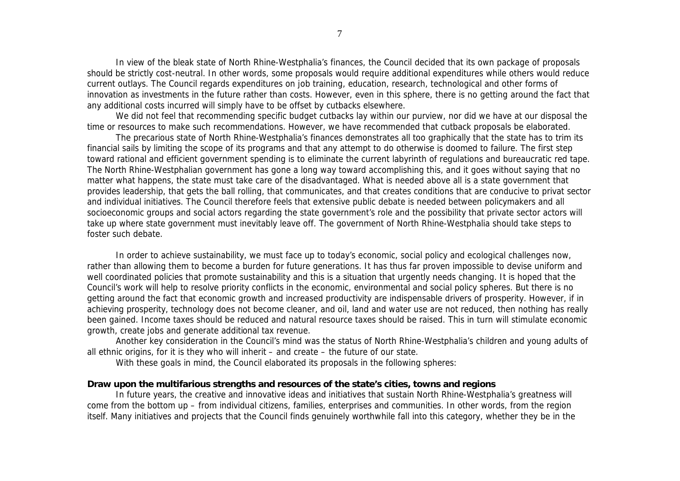In view of the bleak state of North Rhine-Westphalia's finances, the Council decided that its own package of proposals should be strictly cost-neutral. In other words, some proposals would require additional expenditures while others would reduce current outlays. The Council regards expenditures on job training, education, research, technological and other forms of innovation as investments in the future rather than costs. However, even in this sphere, there is no getting around the fact that any additional costs incurred will simply have to be offset by cutbacks elsewhere.

We did not feel that recommending specific budget cutbacks lay within our purview, nor did we have at our disposal the time or resources to make such recommendations. However, we have recommended that cutback proposals be elaborated.

The precarious state of North Rhine-Westphalia's finances demonstrates all too graphically that the state has to trim its financial sails by limiting the scope of its programs and that any attempt to do otherwise is doomed to failure. The first step toward rational and efficient government spending is to eliminate the current labyrinth of regulations and bureaucratic red tape. The North Rhine-Westphalian government has gone a long way toward accomplishing this, and it goes without saying that no matter what happens, the state must take care of the disadvantaged. What is needed above all is a state government that provides leadership, that gets the ball rolling, that communicates, and that creates conditions that are conducive to privat sector and individual initiatives. The Council therefore feels that extensive public debate is needed between policymakers and all socioeconomic groups and social actors regarding the state government's role and the possibility that private sector actors will take up where state government must inevitably leave off. The government of North Rhine-Westphalia should take steps to foster such debate.

In order to achieve sustainability, we must face up to today's economic, social policy and ecological challenges now, rather than allowing them to become a burden for future generations. It has thus far proven impossible to devise uniform and well coordinated policies that promote sustainability and this is a situation that urgently needs changing. It is hoped that the Council's work will help to resolve priority conflicts in the economic, environmental and social policy spheres. But there is no getting around the fact that economic growth and increased productivity are indispensable drivers of prosperity. However, if in achieving prosperity, technology does not become cleaner, and oil, land and water use are not reduced, then nothing has really been gained. Income taxes should be reduced and natural resource taxes should be raised. This in turn will stimulate economic growth, create jobs and generate additional tax revenue.

Another key consideration in the Council's mind was the status of North Rhine-Westphalia's children and young adults of all ethnic origins, for it is they who will inherit – and create – the future of our state.

With these goals in mind, the Council elaborated its proposals in the following spheres:

### **Draw upon the multifarious strengths and resources of the state's cities, towns and regions**

In future years, the creative and innovative ideas and initiatives that sustain North Rhine-Westphalia's greatness will come from the bottom up – from individual citizens, families, enterprises and communities. In other words, from the region itself. Many initiatives and projects that the Council finds genuinely worthwhile fall into this category, whether they be in the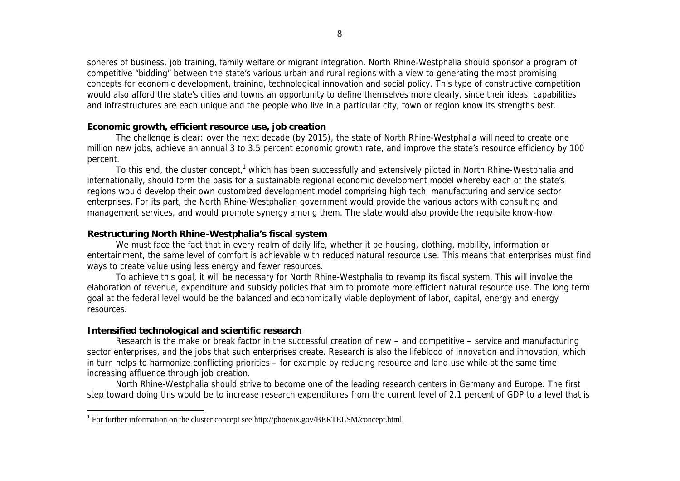spheres of business, job training, family welfare or migrant integration. North Rhine-Westphalia should sponsor a program of competitive "bidding" between the state's various urban and rural regions with a view to generating the most promising concepts for economic development, training, technological innovation and social policy. This type of constructive competition would also afford the state's cities and towns an opportunity to define themselves more clearly, since their ideas, capabilities and infrastructures are each unique and the people who live in a particular city, town or region know its strengths best.

## **Economic growth, efficient resource use, job creation**

The challenge is clear: over the next decade (by 2015), the state of North Rhine-Westphalia will need to create one million new jobs, achieve an annual 3 to 3.5 percent economic growth rate, and improve the state's resource efficiency by 100 percent.

To this end, the cluster concept,<sup>1</sup> which has been successfully and extensively piloted in North Rhine-Westphalia and internationally, should form the basis for a sustainable regional economic development model whereby each of the state's regions would develop their own customized development model comprising high tech, manufacturing and service sector enterprises. For its part, the North Rhine-Westphalian government would provide the various actors with consulting and management services, and would promote synergy among them. The state would also provide the requisite know-how.

## **Restructuring North Rhine-Westphalia's fiscal system**

We must face the fact that in every realm of daily life, whether it be housing, clothing, mobility, information or entertainment, the same level of comfort is achievable with reduced natural resource use. This means that enterprises must find ways to create value using less energy and fewer resources.

To achieve this goal, it will be necessary for North Rhine-Westphalia to revamp its fiscal system. This will involve the elaboration of revenue, expenditure and subsidy policies that aim to promote more efficient natural resource use. The long term goal at the federal level would be the balanced and economically viable deployment of labor, capital, energy and energy resources.

## **Intensified technological and scientific research**

Research is the make or break factor in the successful creation of new – and competitive – service and manufacturing sector enterprises, and the jobs that such enterprises create. Research is also the lifeblood of innovation and innovation, which in turn helps to harmonize conflicting priorities – for example by reducing resource and land use while at the same time increasing affluence through job creation.

North Rhine-Westphalia should strive to become one of the leading research centers in Germany and Europe. The first step toward doing this would be to increase research expenditures from the current level of 2.1 percent of GDP to a level that is

l <sup>1</sup> For further information on the cluster concept see http://phoenix.gov/BERTELSM/concept.html.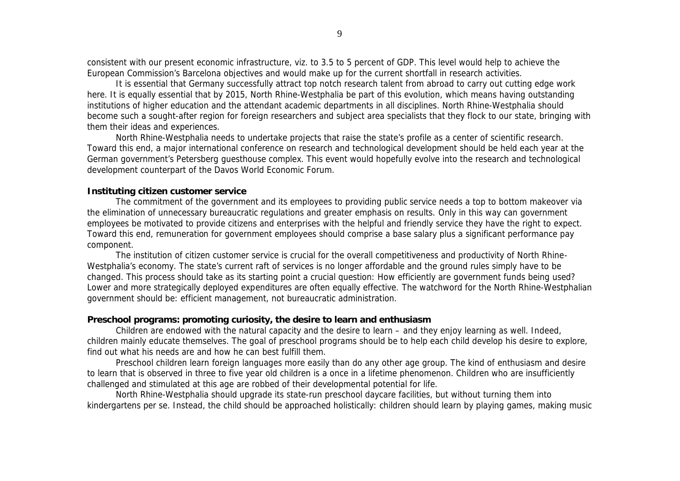consistent with our present economic infrastructure, viz. to 3.5 to 5 percent of GDP. This level would help to achieve the European Commission's Barcelona objectives and would make up for the current shortfall in research activities.

It is essential that Germany successfully attract top notch research talent from abroad to carry out cutting edge work here. It is equally essential that by 2015, North Rhine-Westphalia be part of this evolution, which means having outstanding institutions of higher education and the attendant academic departments in all disciplines. North Rhine-Westphalia should become such a sought-after region for foreign researchers and subject area specialists that they flock to our state, bringing with them their ideas and experiences.

North Rhine-Westphalia needs to undertake projects that raise the state's profile as a center of scientific research. Toward this end, a major international conference on research and technological development should be held each year at the German government's Petersberg guesthouse complex. This event would hopefully evolve into the research and technological development counterpart of the Davos World Economic Forum.

## **Instituting citizen customer service**

The commitment of the government and its employees to providing public *service* needs a top to bottom makeover via the elimination of unnecessary bureaucratic regulations and greater emphasis on results. Only in this way can government employees be motivated to provide citizens and enterprises with the helpful and friendly service they have the right to expect. Toward this end, remuneration for government employees should comprise a base salary plus a significant performance pay component.

The institution of citizen customer service is crucial for the overall competitiveness and productivity of North Rhine-Westphalia's economy. The state's current raft of services is no longer affordable and the ground rules simply have to be changed. This process should take as its starting point a crucial question: How efficiently are government funds being used? Lower and more strategically deployed expenditures are often equally effective. The watchword for the North Rhine-Westphalian government should be: efficient management, not bureaucratic administration.

#### **Preschool programs: promoting curiosity, the desire to learn and enthusiasm**

Children are endowed with the natural capacity and the desire to learn – and they enjoy learning as well. Indeed, children mainly educate themselves. The goal of preschool programs should be to help each child develop his desire to explore, find out what his needs are and how he can best fulfill them.

Preschool children learn foreign languages more easily than do any other age group. The kind of enthusiasm and desire to learn that is observed in three to five year old children is a once in a lifetime phenomenon. Children who are insufficiently challenged and stimulated at this age are robbed of their developmental potential for life.

North Rhine-Westphalia should upgrade its state-run preschool daycare facilities, but without turning them into kindergartens per se. Instead, the child should be approached holistically: children should learn by playing games, making music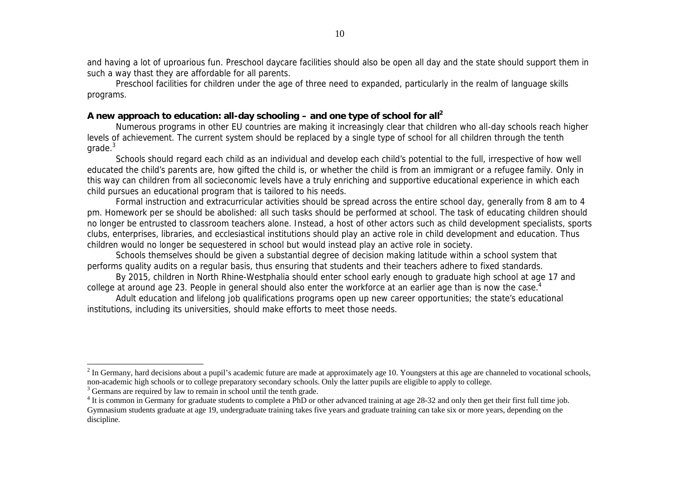and having a lot of uproarious fun. Preschool daycare facilities should also be open all day and the state should support them in such a way thast they are affordable for all parents.

Preschool facilities for children under the age of three need to expanded, particularly in the realm of language skills programs.

## **A new approach to education: all-day schooling – and one type of school for all<sup>2</sup>**

Numerous programs in other EU countries are making it increasingly clear that children who all-day schools reach higher levels of achievement. The current system should be replaced by a single type of school for all children through the tenth  $qrade<sup>3</sup>$ 

Schools should regard each child as an individual and develop each child's potential to the full, irrespective of how well educated the child's parents are, how gifted the child is, or whether the child is from an immigrant or a refugee family. Only in this way can children from all socieconomic levels have a truly enriching and supportive educational experience in which each child pursues an educational program that is tailored to his needs.

Formal instruction and extracurricular activities should be spread across the entire school day, generally from 8 am to 4 pm. Homework per se should be abolished: all such tasks should be performed at school. The task of educating children should no longer be entrusted to classroom teachers alone. Instead, a host of other actors such as child development specialists, sports clubs, enterprises, libraries, and ecclesiastical institutions should play an active role in child development and education. Thus children would no longer be sequestered in school but would instead play an active role in society.

Schools themselves should be given a substantial degree of decision making latitude within a school system that performs quality audits on a regular basis, thus ensuring that students and their teachers adhere to fixed standards.

By 2015, children in North Rhine-Westphalia should enter school early enough to graduate high school at age 17 and college at around age 23. People in general should also enter the workforce at an earlier age than is now the case.<sup>4</sup>

Adult education and lifelong job qualifications programs open up new career opportunities; the state's educational institutions, including its universities, should make efforts to meet those needs.

 $\overline{a}$ 

 $2^{2}$  In Germany, hard decisions about a pupil's academic future are made at approximately age 10. Youngsters at this age are channeled to vocational schools, non-academic high schools or to college preparatory secondary schools. Only the latter pupils are eligible to apply to college.

<sup>&</sup>lt;sup>3</sup> Germans are required by law to remain in school until the tenth grade.

 $4$  It is common in Germany for graduate students to complete a PhD or other advanced training at age 28-32 and only then get their first full time job. Gymnasium students graduate at age 19, undergraduate training takes five years and graduate training can take six or more years, depending on the discipline.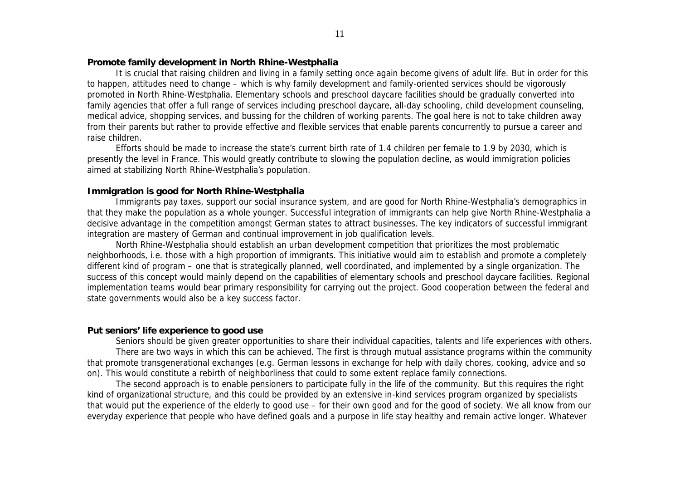## **Promote family development in North Rhine-Westphalia**

It is crucial that raising children and living in a family setting once again become givens of adult life. But in order for this to happen, attitudes need to change – which is why family development and family-oriented services should be vigorously promoted in North Rhine-Westphalia. Elementary schools and preschool daycare facilities should be gradually converted into family agencies that offer a full range of services including preschool daycare, all-day schooling, child development counseling, medical advice, shopping services, and bussing for the children of working parents. The goal here is not to take children away from their parents but rather to provide effective and flexible services that enable parents concurrently to pursue a career and raise children.

Efforts should be made to increase the state's current birth rate of 1.4 children per female to 1.9 by 2030, which is presently the level in France. This would greatly contribute to slowing the population decline, as would immigration policies aimed at stabilizing North Rhine-Westphalia's population.

## **Immigration is good for North Rhine-Westphalia**

Immigrants pay taxes, support our social insurance system, and are good for North Rhine-Westphalia's demographics in that they make the population as a whole younger. Successful integration of immigrants can help give North Rhine-Westphalia a decisive advantage in the competition amongst German states to attract businesses. The key indicators of successful immigrant integration are mastery of German and continual improvement in job qualification levels.

North Rhine-Westphalia should establish an urban development competition that prioritizes the most problematic neighborhoods, i.e. those with a high proportion of immigrants. This initiative would aim to establish and promote a completely different kind of program – one that is strategically planned, well coordinated, and implemented by a single organization. The success of this concept would mainly depend on the capabilities of elementary schools and preschool daycare facilities. Regional implementation teams would bear primary responsibility for carrying out the project. Good cooperation between the federal and state governments would also be a key success factor.

## **Put seniors' life experience to good use**

Seniors should be given greater opportunities to share their individual capacities, talents and life experiences with others. There are two ways in which this can be achieved. The first is through mutual assistance programs within the community that promote transgenerational exchanges (e.g. German lessons in exchange for help with daily chores, cooking, advice and so on). This would constitute a rebirth of neighborliness that could to some extent replace family connections.

The second approach is to enable pensioners to participate fully in the life of the community. But this requires the right kind of organizational structure, and this could be provided by an extensive in-kind services program organized by specialists that would put the experience of the elderly to good use – for their own good and for the good of society. We all know from our everyday experience that people who have defined goals and a purpose in life stay healthy and remain active longer. Whatever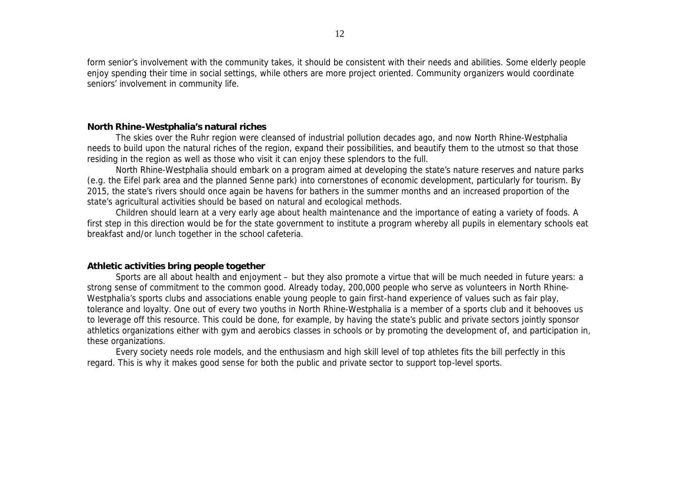form senior's involvement with the community takes, it should be consistent with their needs and abilities. Some elderly people enjoy spending their time in social settings, while others are more project oriented. Community organizers would coordinate seniors' involvement in community life.

## **North Rhine-Westphalia's natural riches**

The skies over the Ruhr region were cleansed of industrial pollution decades ago, and now North Rhine-Westphalia needs to build upon the natural riches of the region, expand their possibilities, and beautify them to the utmost so that those residing in the region as well as those who visit it can enjoy these splendors to the full.

North Rhine-Westphalia should embark on a program aimed at developing the state's nature reserves and nature parks (e.g. the Eifel park area and the planned Senne park) into cornerstones of economic development, particularly for tourism. By 2015, the state's rivers should once again be havens for bathers in the summer months and an increased proportion of the state's agricultural activities should be based on natural and ecological methods.

Children should learn at a very early age about health maintenance and the importance of eating a variety of foods. A first step in this direction would be for the state government to institute a program whereby all pupils in elementary schools eat breakfast and/or lunch together in the school cafeteria.

## **Athletic activities bring people together**

Sports are all about health and enjoyment – but they also promote a virtue that will be much needed in future years: a strong sense of commitment to the common good. Already today, 200,000 people who serve as volunteers in North Rhine-Westphalia's sports clubs and associations enable young people to gain first-hand experience of values such as fair play, tolerance and loyalty. One out of every two youths in North Rhine-Westphalia is a member of a sports club and it behooves us to leverage off this resource. This could be done, for example, by having the state's public and private sectors jointly sponsor athletics organizations either with gym and aerobics classes in schools or by promoting the development of, and participation in, these organizations.

Every society needs role models, and the enthusiasm and high skill level of top athletes fits the bill perfectly in this regard. This is why it makes good sense for both the public and private sector to support top-level sports.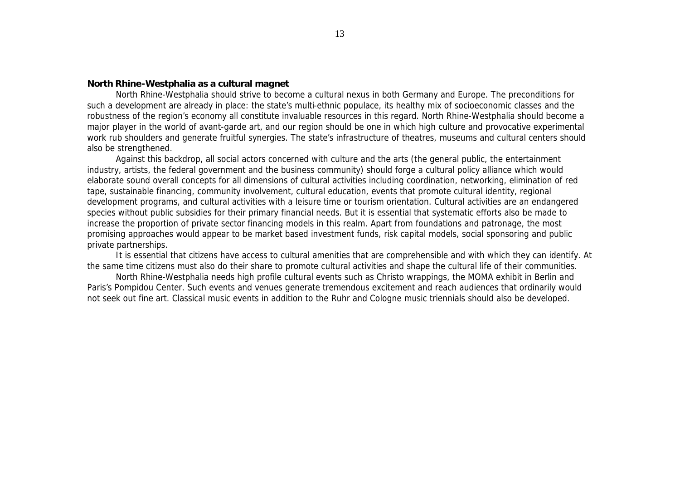## **North Rhine-Westphalia as a cultural magnet**

North Rhine-Westphalia should strive to become a cultural nexus in both Germany and Europe. The preconditions for such a development are already in place: the state's multi-ethnic populace, its healthy mix of socioeconomic classes and the robustness of the region's economy all constitute invaluable resources in this regard. North Rhine-Westphalia should become a major player in the world of avant-garde art, and our region should be one in which high culture and provocative experimental work rub shoulders and generate fruitful synergies. The state's infrastructure of theatres, museums and cultural centers should also be strengthened.

Against this backdrop, all social actors concerned with culture and the arts (the general public, the entertainment industry, artists, the federal government and the business community) should forge a cultural policy alliance which would elaborate sound overall concepts for all dimensions of cultural activities including coordination, networking, elimination of red tape, sustainable financing, community involvement, cultural education, events that promote cultural identity, regional development programs, and cultural activities with a leisure time or tourism orientation. Cultural activities are an endangered species without public subsidies for their primary financial needs. But it is essential that systematic efforts also be made to increase the proportion of private sector financing models in this realm. Apart from foundations and patronage, the most promising approaches would appear to be market based investment funds, risk capital models, social sponsoring and public private partnerships.

It is essential that citizens have access to cultural amenities that are comprehensible and with which they can identify. At the same time citizens must also do their share to promote cultural activities and shape the cultural life of their communities.

North Rhine-Westphalia needs high profile cultural events such as Christo wrappings, the MOMA exhibit in Berlin and Paris's Pompidou Center. Such events and venues generate tremendous excitement and reach audiences that ordinarily would not seek out fine art. Classical music events in addition to the Ruhr and Cologne music triennials should also be developed.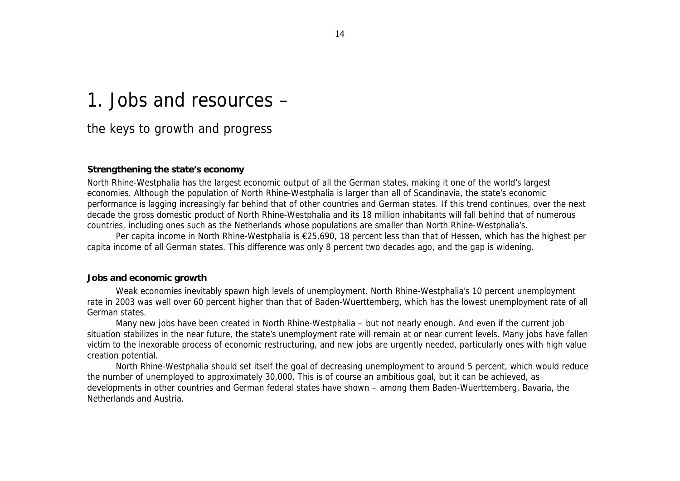# 1. Jobs and resources –

# the keys to growth and progress

## **Strengthening the state's economy**

North Rhine-Westphalia has the largest economic output of all the German states, making it one of the world's largest economies. Although the population of North Rhine-Westphalia is larger than all of Scandinavia, the state's economic performance is lagging increasingly far behind that of other countries and German states. If this trend continues, over the next decade the gross domestic product of North Rhine-Westphalia and its 18 million inhabitants will fall behind that of numerous countries, including ones such as the Netherlands whose populations are smaller than North Rhine-Westphalia's.

Per capita income in North Rhine-Westphalia is €25,690, 18 percent less than that of Hessen, which has the highest per capita income of all German states. This difference was only 8 percent two decades ago, and the gap is widening.

## **Jobs and economic growth**

Weak economies inevitably spawn high levels of unemployment. North Rhine-Westphalia's 10 percent unemployment rate in 2003 was well over 60 percent higher than that of Baden-Wuerttemberg, which has the lowest unemployment rate of all German states.

Many new jobs have been created in North Rhine-Westphalia – but not nearly enough. And even if the current job situation stabilizes in the near future, the state's unemployment rate will remain at or near current levels. Many jobs have fallen victim to the inexorable process of economic restructuring, and new jobs are urgently needed, particularly ones with high value creation potential.

North Rhine-Westphalia should set itself the goal of decreasing unemployment to around 5 percent, which would reduce the number of unemployed to approximately 30,000. This is of course an ambitious goal, but it can be achieved, as developments in other countries and German federal states have shown – among them Baden-Wuerttemberg, Bavaria, the Netherlands and Austria.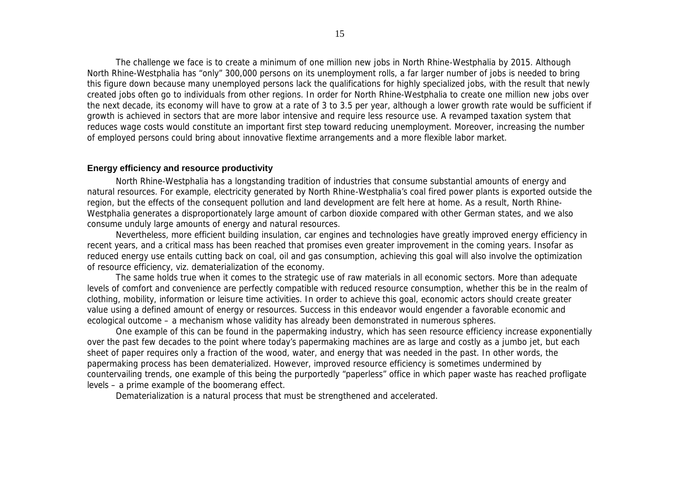The challenge we face is to create a minimum of one million new jobs in North Rhine-Westphalia by 2015. Although North Rhine-Westphalia has "only" 300,000 persons on its unemployment rolls, a far larger number of jobs is needed to bring this figure down because many unemployed persons lack the qualifications for highly specialized jobs, with the result that newly created jobs often go to individuals from other regions. In order for North Rhine-Westphalia to create one million new jobs over the next decade, its economy will have to grow at a rate of 3 to 3.5 per year, although a lower growth rate would be sufficient if growth is achieved in sectors that are more labor intensive and require less resource use. A revamped taxation system that reduces wage costs would constitute an important first step toward reducing unemployment. Moreover, increasing the number of employed persons could bring about innovative flextime arrangements and a more flexible labor market.

## **Energy efficiency and resource productivity**

North Rhine-Westphalia has a longstanding tradition of industries that consume substantial amounts of energy and natural resources. For example, electricity generated by North Rhine-Westphalia's coal fired power plants is exported outside the region, but the effects of the consequent pollution and land development are felt here at home. As a result, North Rhine-Westphalia generates a disproportionately large amount of carbon dioxide compared with other German states, and we also consume unduly large amounts of energy and natural resources.

Nevertheless, more efficient building insulation, car engines and technologies have greatly improved energy efficiency in recent years, and a critical mass has been reached that promises even greater improvement in the coming years. Insofar as reduced energy use entails cutting back on coal, oil and gas consumption, achieving this goal will also involve the optimization of resource efficiency, viz. dematerialization of the economy.

The same holds true when it comes to the strategic use of raw materials in all economic sectors. More than adequate levels of comfort and convenience are perfectly compatible with reduced resource consumption, whether this be in the realm of clothing, mobility, information or leisure time activities. In order to achieve this goal, economic actors should create greater value using a defined amount of energy or resources. Success in this endeavor would engender a favorable economic *and* ecological outcome – a mechanism whose validity has already been demonstrated in numerous spheres.

One example of this can be found in the papermaking industry, which has seen resource efficiency increase exponentially over the past few decades to the point where today's papermaking machines are as large and costly as a jumbo jet, but each sheet of paper requires only a fraction of the wood, water, and energy that was needed in the past. In other words, the papermaking process has been dematerialized. However, improved resource efficiency is sometimes undermined by countervailing trends, one example of this being the purportedly "paperless" office in which paper waste has reached profligate levels – a prime example of the boomerang effect.

Dematerialization is a natural process that must be strengthened and accelerated.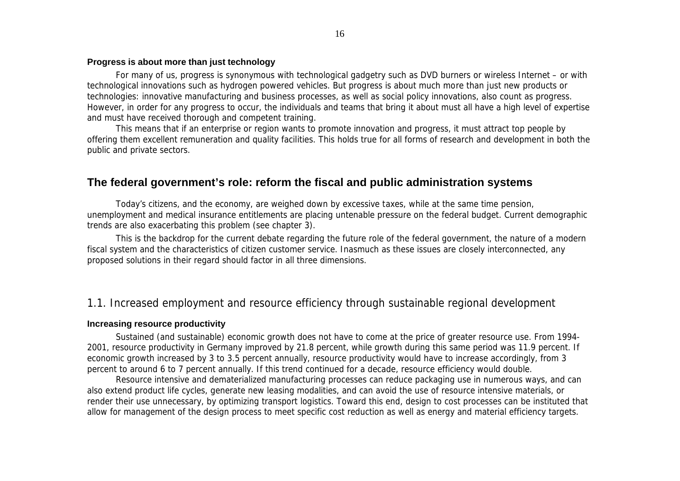## **Progress is about more than just technology**

For many of us, progress is synonymous with technological gadgetry such as DVD burners or wireless Internet – or with technological innovations such as hydrogen powered vehicles. But progress is about much more than just new products or technologies: innovative manufacturing and business processes, as well as social policy innovations, also count as progress. However, in order for any progress to occur, the individuals and teams that bring it about must all have a high level of expertise and must have received thorough and competent training.

This means that if an enterprise or region wants to promote innovation and progress, it must attract top people by offering them excellent remuneration and quality facilities. This holds true for all forms of research and development in both the public and private sectors.

## **The federal government's role: reform the fiscal and public administration systems**

Today's citizens, and the economy, are weighed down by excessive taxes, while at the same time pension, unemployment and medical insurance entitlements are placing untenable pressure on the federal budget. Current demographic trends are also exacerbating this problem (see chapter 3).

This is the backdrop for the current debate regarding the future role of the federal government, the nature of a modern fiscal system and the characteristics of citizen customer service. Inasmuch as these issues are closely interconnected, any proposed solutions in their regard should factor in all three dimensions.

## 1.1. Increased employment and resource efficiency through sustainable regional development

#### **Increasing resource productivity**

Sustained (and sustainable) economic growth does not have to come at the price of greater resource use. From 1994- 2001, resource productivity in Germany improved by 21.8 percent, while growth during this same period was 11.9 percent. If economic growth increased by 3 to 3.5 percent annually, resource productivity would have to increase accordingly, from 3 percent to around 6 to 7 percent annually. If this trend continued for a decade, resource efficiency would double.

Resource intensive and dematerialized manufacturing processes can reduce packaging use in numerous ways, and can also extend product life cycles, generate new leasing modalities, and can avoid the use of resource intensive materials, or render their use unnecessary, by optimizing transport logistics. Toward this end, design to cost processes can be instituted that allow for management of the design process to meet specific cost reduction as well as energy and material efficiency targets.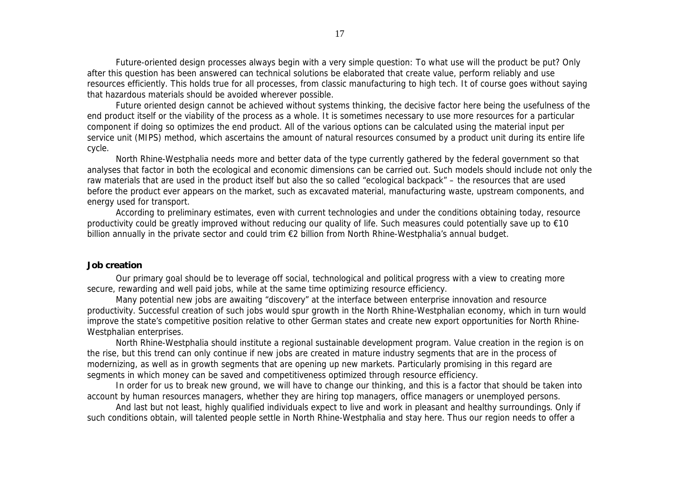Future-oriented design processes always begin with a very simple question: To what use will the product be put? Only after this question has been answered can technical solutions be elaborated that create value, perform reliably and use resources efficiently. This holds true for all processes, from classic manufacturing to high tech. It of course goes without saying that hazardous materials should be avoided wherever possible.

Future oriented design cannot be achieved without systems thinking, the decisive factor here being the usefulness of the end product itself or the viability of the process as a whole. It is sometimes necessary to use more resources for a particular component if doing so optimizes the end product. All of the various options can be calculated using the material input per service unit (MIPS) method, which ascertains the amount of natural resources consumed by a product unit during its entire life cycle.

North Rhine-Westphalia needs more and better data of the type currently gathered by the federal government so that analyses that factor in both the ecological and economic dimensions can be carried out. Such models should include not only the raw materials that are used in the product itself but also the so called "ecological backpack" – the resources that are used before the product ever appears on the market, such as excavated material, manufacturing waste, upstream components, and energy used for transport.

According to preliminary estimates, even with current technologies and under the conditions obtaining today, resource productivity could be greatly improved without reducing our quality of life. Such measures could potentially save up to €10 billion annually in the private sector and could trim €2 billion from North Rhine-Westphalia's annual budget.

#### **Job creation**

Our primary goal should be to leverage off social, technological and political progress with a view to creating more secure, rewarding and well paid jobs, while at the same time optimizing resource efficiency.

Many potential new jobs are awaiting "discovery" at the interface between enterprise innovation and resource productivity. Successful creation of such jobs would spur growth in the North Rhine-Westphalian economy, which in turn would improve the state's competitive position relative to other German states and create new export opportunities for North Rhine-Westphalian enterprises.

North Rhine-Westphalia should institute a regional sustainable development program. Value creation in the region is on the rise, but this trend can only continue if new jobs are created in mature industry segments that are in the process of modernizing, as well as in growth segments that are opening up new markets. Particularly promising in this regard are segments in which money can be saved and competitiveness optimized through resource efficiency.

In order for us to break new ground, we will have to change our thinking, and this is a factor that should be taken into account by human resources managers, whether they are hiring top managers, office managers or unemployed persons.

And last but not least, highly qualified individuals expect to live and work in pleasant and healthy surroundings. Only if such conditions obtain, will talented people settle in North Rhine-Westphalia and stay here. Thus our region needs to offer a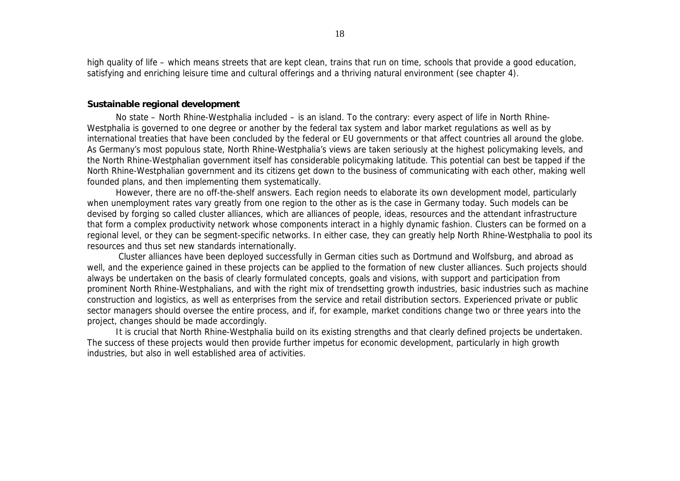high quality of life – which means streets that are kept clean, trains that run on time, schools that provide a good education, satisfying and enriching leisure time and cultural offerings and a thriving natural environment (see chapter 4).

#### **Sustainable regional development**

No state – North Rhine-Westphalia included – is an island. To the contrary: every aspect of life in North Rhine-Westphalia is governed to one degree or another by the federal tax system and labor market regulations as well as by international treaties that have been concluded by the federal or EU governments or that affect countries all around the globe. As Germany's most populous state, North Rhine-Westphalia's views are taken seriously at the highest policymaking levels, and the North Rhine-Westphalian government itself has considerable policymaking latitude. This potential can best be tapped if the North Rhine-Westphalian government and its citizens get down to the business of communicating with each other, making well founded plans, and then implementing them systematically.

However, there are no off-the-shelf answers. Each region needs to elaborate its own development model, particularly when unemployment rates vary greatly from one region to the other as is the case in Germany today. Such models can be devised by forging so called cluster alliances, which are alliances of people, ideas, resources and the attendant infrastructure that form a complex productivity network whose components interact in a highly dynamic fashion. Clusters can be formed on a regional level, or they can be segment-specific networks. In either case, they can greatly help North Rhine-Westphalia to pool its resources and thus set new standards internationally.

 Cluster alliances have been deployed successfully in German cities such as Dortmund and Wolfsburg, and abroad as well, and the experience gained in these projects can be applied to the formation of new cluster alliances. Such projects should always be undertaken on the basis of clearly formulated concepts, goals and visions, with support and participation from prominent North Rhine-Westphalians, and with the right mix of trendsetting growth industries, basic industries such as machine construction and logistics, as well as enterprises from the service and retail distribution sectors. Experienced private or public sector managers should oversee the entire process, and if, for example, market conditions change two or three years into the project, changes should be made accordingly.

It is crucial that North Rhine-Westphalia build on its existing strengths and that clearly defined projects be undertaken. The success of these projects would then provide further impetus for economic development, particularly in high growth industries, but also in well established area of activities.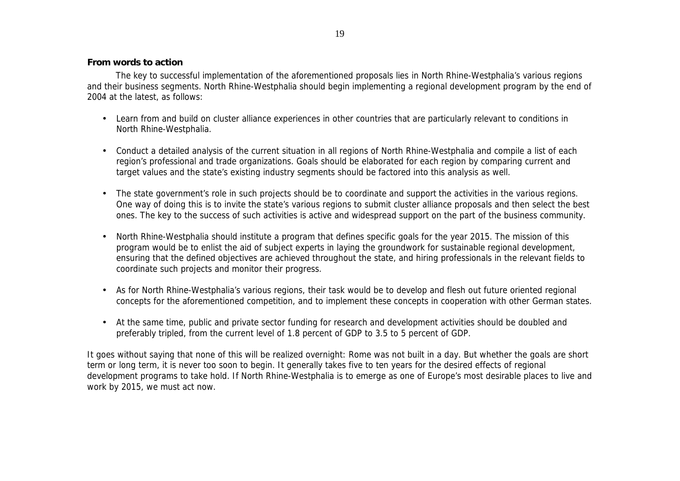## **From words to action**

The key to successful implementation of the aforementioned proposals lies in North Rhine-Westphalia's various regions and their business segments. North Rhine-Westphalia should begin implementing a regional development program by the end of 2004 at the latest, as follows:

- Learn from and build on cluster alliance experiences in other countries that are particularly relevant to conditions in North Rhine-Westphalia.
- Conduct a detailed analysis of the current situation in all regions of North Rhine-Westphalia and compile a list of each region's professional and trade organizations. Goals should be elaborated for each region by comparing current and target values and the state's existing industry segments should be factored into this analysis as well.
- The state government's role in such projects should be to coordinate and support the activities in the various regions. One way of doing this is to invite the state's various regions to submit cluster alliance proposals and then select the best ones. The key to the success of such activities is active and widespread support on the part of the business community.
- North Rhine-Westphalia should institute a program that defines specific goals for the year 2015. The mission of this program would be to enlist the aid of subject experts in laying the groundwork for sustainable regional development, ensuring that the defined objectives are achieved throughout the state, and hiring professionals in the relevant fields to coordinate such projects and monitor their progress.
- As for North Rhine-Westphalia's various regions, their task would be to develop and flesh out future oriented regional concepts for the aforementioned competition, and to implement these concepts in cooperation with other German states.
- At the same time, public and private sector funding for research and development activities should be doubled and preferably tripled, from the current level of 1.8 percent of GDP to 3.5 to 5 percent of GDP.

It goes without saying that none of this will be realized overnight: Rome was not built in a day. But whether the goals are short term or long term, it is never too soon to begin. It generally takes five to ten years for the desired effects of regional development programs to take hold. If North Rhine-Westphalia is to emerge as one of Europe's most desirable places to live and work by 2015, we must act now.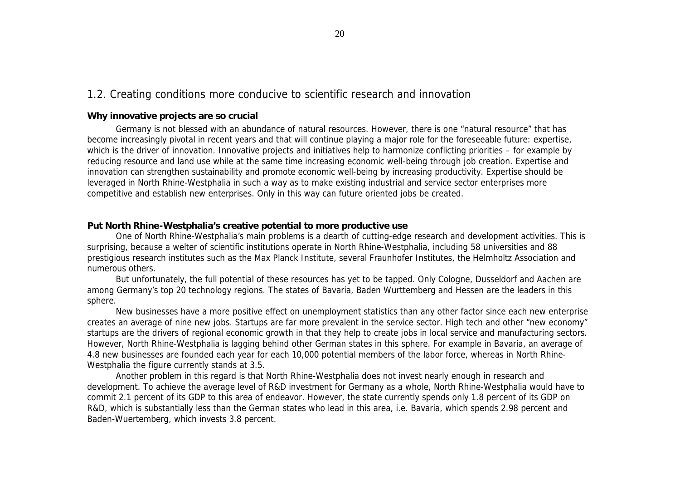## 1.2. Creating conditions more conducive to scientific research and innovation

## **Why innovative projects are so crucial**

Germany is not blessed with an abundance of natural resources. However, there is one "natural resource" that has become increasingly pivotal in recent years and that will continue playing a major role for the foreseeable future: expertise, which is the driver of innovation. Innovative projects and initiatives help to harmonize conflicting priorities – for example by reducing resource and land use while at the same time increasing economic well-being through job creation. Expertise and innovation can strengthen sustainability and promote economic well-being by increasing productivity. Expertise should be leveraged in North Rhine-Westphalia in such a way as to make existing industrial and service sector enterprises more competitive and establish new enterprises. Only in this way can future oriented jobs be created.

## **Put North Rhine-Westphalia's creative potential to more productive use**

One of North Rhine-Westphalia's main problems is a dearth of cutting-edge research and development activities. This is surprising, because a welter of scientific institutions operate in North Rhine-Westphalia, including 58 universities and 88 prestigious research institutes such as the Max Planck Institute, several Fraunhofer Institutes, the Helmholtz Association and numerous others.

But unfortunately, the full potential of these resources has yet to be tapped. Only Cologne, Dusseldorf and Aachen are among Germany's top 20 technology regions. The states of Bavaria, Baden Wurttemberg and Hessen are the leaders in this sphere.

New businesses have a more positive effect on unemployment statistics than any other factor since each new enterprise creates an average of nine new jobs. Startups are far more prevalent in the service sector. High tech and other "new economy" startups are the drivers of regional economic growth in that they help to create jobs in local service and manufacturing sectors. However, North Rhine-Westphalia is lagging behind other German states in this sphere. For example in Bavaria, an average of 4.8 new businesses are founded each year for each 10,000 potential members of the labor force, whereas in North Rhine-Westphalia the figure currently stands at 3.5.

Another problem in this regard is that North Rhine-Westphalia does not invest nearly enough in research and development. To achieve the average level of R&D investment for Germany as a whole, North Rhine-Westphalia would have to commit 2.1 percent of its GDP to this area of endeavor. However, the state currently spends only 1.8 percent of its GDP on R&D, which is substantially less than the German states who lead in this area, i.e. Bavaria, which spends 2.98 percent and Baden-Wuertemberg, which invests 3.8 percent.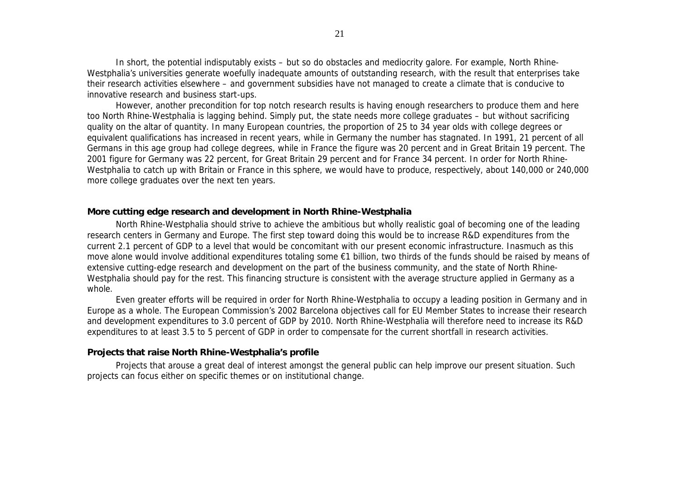In short, the potential indisputably exists – but so do obstacles and mediocrity galore. For example, North Rhine-Westphalia's universities generate woefully inadequate amounts of outstanding research, with the result that enterprises take their research activities elsewhere – and government subsidies have not managed to create a climate that is conducive to innovative research and business start-ups.

However, another precondition for top notch research results is having enough researchers to produce them and here too North Rhine-Westphalia is lagging behind. Simply put, the state needs more college graduates – but without sacrificing quality on the altar of quantity. In many European countries, the proportion of 25 to 34 year olds with college degrees or equivalent qualifications has increased in recent years, while in Germany the number has stagnated. In 1991, 21 percent of all Germans in this age group had college degrees, while in France the figure was 20 percent and in Great Britain 19 percent. The 2001 figure for Germany was 22 percent, for Great Britain 29 percent and for France 34 percent. In order for North Rhine-Westphalia to catch up with Britain or France in this sphere, we would have to produce, respectively, about 140,000 or 240,000 more college graduates over the next ten years.

#### **More cutting edge research and development in North Rhine-Westphalia**

North Rhine-Westphalia should strive to achieve the ambitious but wholly realistic goal of becoming one of the leading research centers in Germany and Europe. The first step toward doing this would be to increase R&D expenditures from the current 2.1 percent of GDP to a level that would be concomitant with our present economic infrastructure. Inasmuch as this move alone would involve additional expenditures totaling some €1 billion, two thirds of the funds should be raised by means of extensive cutting-edge research and development on the part of the business community, and the state of North Rhine-Westphalia should pay for the rest. This financing structure is consistent with the average structure applied in Germany as a whole.

Even greater efforts will be required in order for North Rhine-Westphalia to occupy a leading position in Germany and in Europe as a whole. The European Commission's 2002 Barcelona objectives call for EU Member States to increase their research and development expenditures to 3.0 percent of GDP by 2010. North Rhine-Westphalia will therefore need to increase its R&D expenditures to at least 3.5 to 5 percent of GDP in order to compensate for the current shortfall in research activities.

## **Projects that raise North Rhine-Westphalia's profile**

Projects that arouse a great deal of interest amongst the general public can help improve our present situation. Such projects can focus either on specific themes or on institutional change.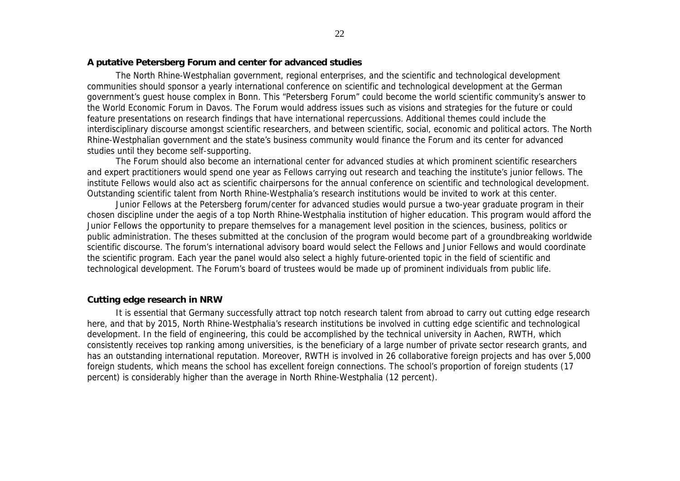## **A putative Petersberg Forum and center for advanced studies**

The North Rhine-Westphalian government, regional enterprises, and the scientific and technological development communities should sponsor a yearly international conference on scientific and technological development at the German government's guest house complex in Bonn. This "Petersberg Forum" could become the world scientific community's answer to the World Economic Forum in Davos. The Forum would address issues such as visions and strategies for the future or could feature presentations on research findings that have international repercussions. Additional themes could include the interdisciplinary discourse amongst scientific researchers, and between scientific, social, economic and political actors. The North Rhine-Westphalian government and the state's business community would finance the Forum and its center for advanced studies until they become self-supporting.

The Forum should also become an international center for advanced studies at which prominent scientific researchers and expert practitioners would spend one year as Fellows carrying out research and teaching the institute's junior fellows. The institute Fellows would also act as scientific chairpersons for the annual conference on scientific and technological development. Outstanding scientific talent from North Rhine-Westphalia's research institutions would be invited to work at this center.

Junior Fellows at the Petersberg forum/center for advanced studies would pursue a two-year graduate program in their chosen discipline under the aegis of a top North Rhine-Westphalia institution of higher education. This program would afford the Junior Fellows the opportunity to prepare themselves for a management level position in the sciences, business, politics or public administration. The theses submitted at the conclusion of the program would become part of a groundbreaking worldwide scientific discourse. The forum's international advisory board would select the Fellows and Junior Fellows and would coordinate the scientific program. Each year the panel would also select a highly future-oriented topic in the field of scientific and technological development. The Forum's board of trustees would be made up of prominent individuals from public life.

## **Cutting edge research in NRW**

It is essential that Germany successfully attract top notch research talent from abroad to carry out cutting edge research here, and that by 2015, North Rhine-Westphalia's research institutions be involved in cutting edge scientific and technological development. In the field of engineering, this could be accomplished by the technical university in Aachen, RWTH, which consistently receives top ranking among universities, is the beneficiary of a large number of private sector research grants, and has an outstanding international reputation. Moreover, RWTH is involved in 26 collaborative foreign projects and has over 5,000 foreign students, which means the school has excellent foreign connections. The school's proportion of foreign students (17 percent) is considerably higher than the average in North Rhine-Westphalia (12 percent).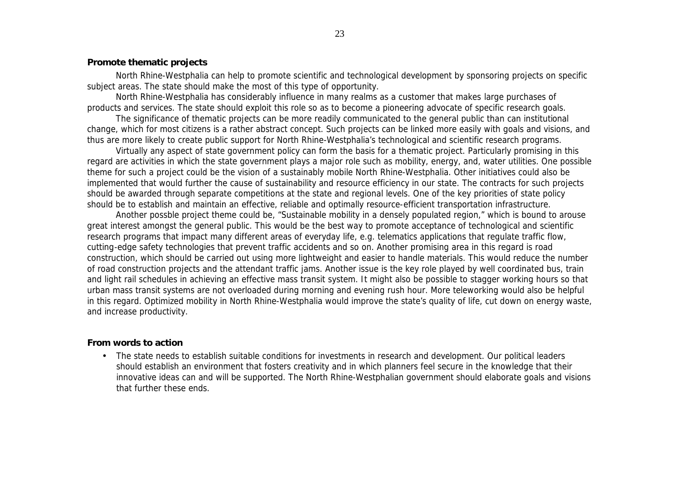## **Promote thematic projects**

North Rhine-Westphalia can help to promote scientific and technological development by sponsoring projects on specific subject areas. The state should make the most of this type of opportunity.

North Rhine-Westphalia has considerably influence in many realms as a customer that makes large purchases of products and services. The state should exploit this role so as to become a pioneering advocate of specific research goals.

The significance of thematic projects can be more readily communicated to the general public than can institutional change, which for most citizens is a rather abstract concept. Such projects can be linked more easily with goals and visions, and thus are more likely to create public support for North Rhine-Westphalia's technological and scientific research programs.

Virtually any aspect of state government policy can form the basis for a thematic project. Particularly promising in this regard are activities in which the state government plays a major role such as mobility, energy, and, water utilities. One possible theme for such a project could be the vision of a sustainably mobile North Rhine-Westphalia. Other initiatives could also be implemented that would further the cause of sustainability and resource efficiency in our state. The contracts for such projects should be awarded through separate competitions at the state and regional levels. One of the key priorities of state policy should be to establish and maintain an effective, reliable and optimally resource-efficient transportation infrastructure.

Another possble project theme could be, "Sustainable mobility in a densely populated region," which is bound to arouse great interest amongst the general public. This would be the best way to promote acceptance of technological and scientific research programs that impact many different areas of everyday life, e.g. telematics applications that regulate traffic flow, cutting-edge safety technologies that prevent traffic accidents and so on. Another promising area in this regard is road construction, which should be carried out using more lightweight and easier to handle materials. This would reduce the number of road construction projects and the attendant traffic jams. Another issue is the key role played by well coordinated bus, train and light rail schedules in achieving an effective mass transit system. It might also be possible to stagger working hours so that urban mass transit systems are not overloaded during morning and evening rush hour. More teleworking would also be helpful in this regard. Optimized mobility in North Rhine-Westphalia would improve the state's quality of life, cut down on energy waste, and increase productivity.

## **From words to action**

• The state needs to establish suitable conditions for investments in research and development. Our political leaders should establish an environment that fosters creativity and in which planners feel secure in the knowledge that their innovative ideas can and will be supported. The North Rhine-Westphalian government should elaborate goals and visions that further these ends.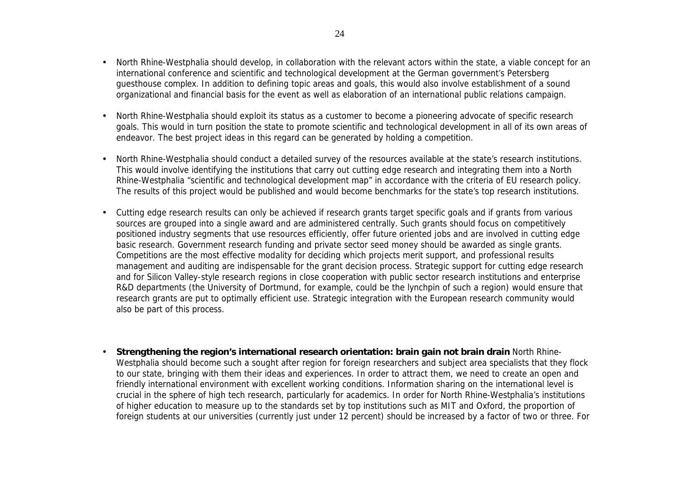- North Rhine-Westphalia should develop, in collaboration with the relevant actors within the state, a viable concept for an international conference and scientific and technological development at the German government's Petersberg guesthouse complex. In addition to defining topic areas and goals, this would also involve establishment of a sound organizational and financial basis for the event as well as elaboration of an international public relations campaign.
- North Rhine-Westphalia should exploit its status as a customer to become a pioneering advocate of specific research goals. This would in turn position the state to promote scientific and technological development in all of its own areas of endeavor. The best project ideas in this regard can be generated by holding a competition.
- North Rhine-Westphalia should conduct a detailed survey of the resources available at the state's research institutions. This would involve identifying the institutions that carry out cutting edge research and integrating them into a North Rhine-Westphalia "scientific and technological development map" in accordance with the criteria of EU research policy. The results of this project would be published and would become benchmarks for the state's top research institutions.
- Cutting edge research results can only be achieved if research grants target specific goals and if grants from various sources are grouped into a single award and are administered centrally. Such grants should focus on competitively positioned industry segments that use resources efficiently, offer future oriented jobs and are involved in cutting edge basic research. Government research funding and private sector seed money should be awarded as single grants. Competitions are the most effective modality for deciding which projects merit support, and professional results management and auditing are indispensable for the grant decision process. Strategic support for cutting edge research and for Silicon Valley-style research regions in close cooperation with public sector research institutions and enterprise R&D departments (the University of Dortmund, for example, could be the lynchpin of such a region) would ensure that research grants are put to optimally efficient use. Strategic integration with the European research community would also be part of this process.
- **Strengthening the region's international research orientation: brain gain not brain drain** North Rhine-Westphalia should become such a sought after region for foreign researchers and subject area specialists that they flock to our state, bringing with them their ideas and experiences. In order to attract them, we need to create an open and friendly international environment with excellent working conditions. Information sharing on the international level is crucial in the sphere of high tech research, particularly for academics. In order for North Rhine-Westphalia's institutions of higher education to measure up to the standards set by top institutions such as MIT and Oxford, the proportion of foreign students at our universities (currently just under 12 percent) should be increased by a factor of two or three. For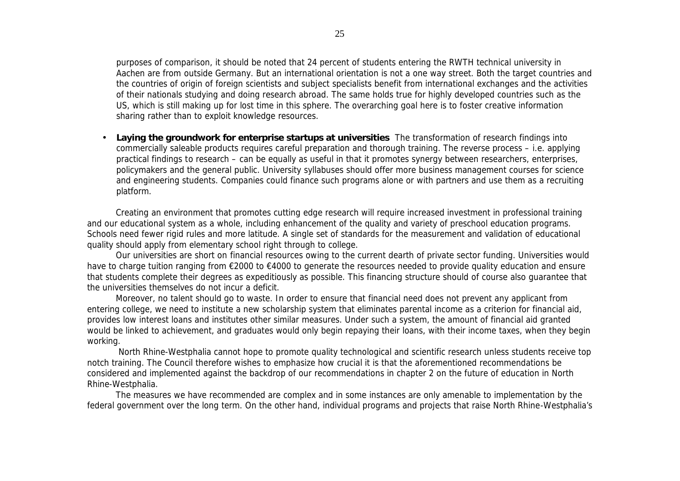purposes of comparison, it should be noted that 24 percent of students entering the RWTH technical university in Aachen are from outside Germany. But an international orientation is not a one way street. Both the target countries and the countries of origin of foreign scientists and subject specialists benefit from international exchanges and the activities of their nationals studying and doing research abroad. The same holds true for highly developed countries such as the US, which is still making up for lost time in this sphere. The overarching goal here is to foster creative information sharing rather than to exploit knowledge resources.

• **Laying the groundwork for enterprise startups at universities** The transformation of research findings into commercially saleable products requires careful preparation and thorough training. The reverse process – i.e. applying practical findings to research – can be equally as useful in that it promotes synergy between researchers, enterprises, policymakers and the general public. University syllabuses should offer more business management courses for science and engineering students. Companies could finance such programs alone or with partners and use them as a recruiting platform.

Creating an environment that promotes cutting edge research will require increased investment in professional training and our educational system as a whole, including enhancement of the quality and variety of preschool education programs. Schools need fewer rigid rules and more latitude. A single set of standards for the measurement and validation of educational quality should apply from elementary school right through to college.

Our universities are short on financial resources owing to the current dearth of private sector funding. Universities would have to charge tuition ranging from €2000 to €4000 to generate the resources needed to provide quality education and ensure that students complete their degrees as expeditiously as possible. This financing structure should of course also guarantee that the universities themselves do not incur a deficit.

Moreover, no talent should go to waste. In order to ensure that financial need does not prevent any applicant from entering college, we need to institute a new scholarship system that eliminates parental income as a criterion for financial aid, provides low interest loans and institutes other similar measures. Under such a system, the amount of financial aid granted would be linked to achievement, and graduates would only begin repaying their loans, with their income taxes, when they begin working.

 North Rhine-Westphalia cannot hope to promote quality technological and scientific research unless students receive top notch training. The Council therefore wishes to emphasize how crucial it is that the aforementioned recommendations be considered and implemented against the backdrop of our recommendations in chapter 2 on the future of education in North Rhine-Westphalia.

The measures we have recommended are complex and in some instances are only amenable to implementation by the federal government over the long term. On the other hand, individual programs and projects that raise North Rhine-Westphalia's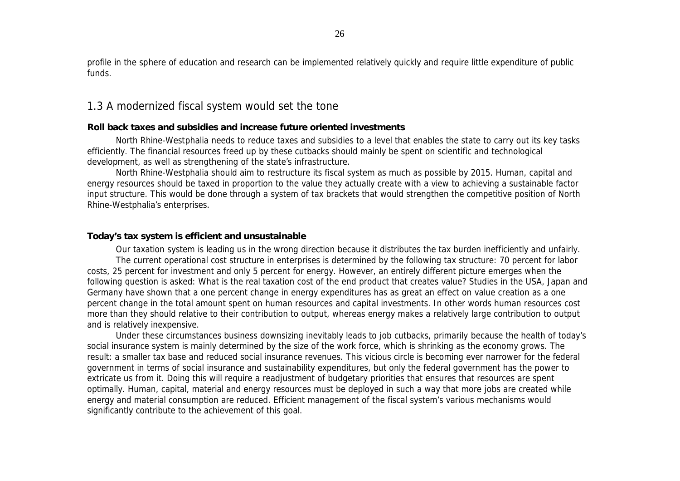profile in the sphere of education and research can be implemented relatively quickly and require little expenditure of public funds.

## 1.3 A modernized fiscal system would set the tone

## **Roll back taxes and subsidies and increase future oriented investments**

North Rhine-Westphalia needs to reduce taxes and subsidies to a level that enables the state to carry out its key tasks efficiently. The financial resources freed up by these cutbacks should mainly be spent on scientific and technological development, as well as strengthening of the state's infrastructure.

North Rhine-Westphalia should aim to restructure its fiscal system as much as possible by 2015. Human, capital and energy resources should be taxed in proportion to the value they actually create with a view to achieving a sustainable factor input structure. This would be done through a system of tax brackets that would strengthen the competitive position of North Rhine-Westphalia's enterprises.

## **Today's tax system is efficient and unsustainable**

Our taxation system is leading us in the wrong direction because it distributes the tax burden inefficiently and unfairly. The current operational cost structure in enterprises is determined by the following tax structure: 70 percent for labor costs, 25 percent for investment and only 5 percent for energy. However, an entirely different picture emerges when the following question is asked: What is the *real* taxation cost of the end product that creates value? Studies in the USA, Japan and Germany have shown that a one percent change in energy expenditures has as great an effect on value creation as a one percent change in the total amount spent on human resources and capital investments. In other words human resources cost more than they should relative to their contribution to output, whereas energy makes a relatively large contribution to output and is relatively inexpensive.

Under these circumstances business downsizing inevitably leads to job cutbacks, primarily because the health of today's social insurance system is mainly determined by the size of the work force, which is shrinking as the economy grows. The result: a smaller tax base and reduced social insurance revenues. This vicious circle is becoming ever narrower for the federal government in terms of social insurance and sustainability expenditures, but only the federal government has the power to extricate us from it. Doing this will require a readjustment of budgetary priorities that ensures that resources are spent optimally. Human, capital, material and energy resources must be deployed in such a way that more jobs are created while energy and material consumption are reduced. Efficient management of the fiscal system's various mechanisms would significantly contribute to the achievement of this goal.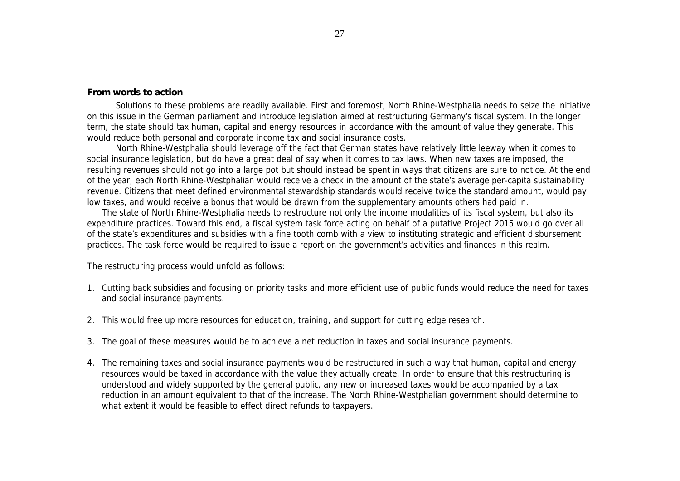## **From words to action**

Solutions to these problems are readily available. First and foremost, North Rhine-Westphalia needs to seize the initiative on this issue in the German parliament and introduce legislation aimed at restructuring Germany's fiscal system. In the longer term, the state should tax human, capital and energy resources in accordance with the amount of value they generate. This would reduce both personal and corporate income tax and social insurance costs.

North Rhine-Westphalia should leverage off the fact that German states have relatively little leeway when it comes to social insurance legislation, but do have a great deal of say when it comes to tax laws. When new taxes are imposed, the resulting revenues should not go into a large pot but should instead be spent in ways that citizens are sure to notice. At the end of the year, each North Rhine-Westphalian would receive a check in the amount of the state's average per-capita sustainability revenue. Citizens that meet defined environmental stewardship standards would receive twice the standard amount, would pay low taxes, and would receive a bonus that would be drawn from the supplementary amounts others had paid in.

The state of North Rhine-Westphalia needs to restructure not only the income modalities of its fiscal system, but also its expenditure practices. Toward this end, a fiscal system task force acting on behalf of a putative Project 2015 would go over all of the state's expenditures and subsidies with a fine tooth comb with a view to instituting strategic and efficient disbursement practices. The task force would be required to issue a report on the government's activities and finances in this realm.

The restructuring process would unfold as follows:

- 1. Cutting back subsidies and focusing on priority tasks and more efficient use of public funds would reduce the need for taxes and social insurance payments.
- 2. This would free up more resources for education, training, and support for cutting edge research.
- 3. The goal of these measures would be to achieve a net reduction in taxes and social insurance payments.
- 4. The remaining taxes and social insurance payments would be restructured in such a way that human, capital and energy resources would be taxed in accordance with the value they actually create. In order to ensure that this restructuring is understood and widely supported by the general public, any new or increased taxes would be accompanied by a tax reduction in an amount equivalent to that of the increase. The North Rhine-Westphalian government should determine to what extent it would be feasible to effect direct refunds to taxpayers.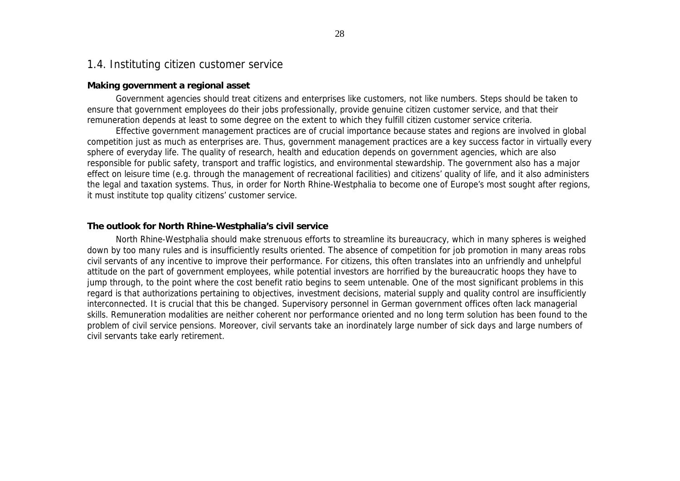## 1.4. Instituting citizen customer service

## **Making government a regional asset**

Government agencies should treat citizens and enterprises like customers, not like numbers. Steps should be taken to ensure that government employees do their jobs professionally, provide genuine citizen customer service, and that their remuneration depends at least to some degree on the extent to which they fulfill citizen customer service criteria.

Effective government management practices are of crucial importance because states and regions are involved in global competition just as much as enterprises are. Thus, government management practices are a key success factor in virtually every sphere of everyday life. The quality of research, health and education depends on government agencies, which are also responsible for public safety, transport and traffic logistics, and environmental stewardship. The government also has a major effect on leisure time (e.g. through the management of recreational facilities) and citizens' quality of life, and it also administers the legal and taxation systems. Thus, in order for North Rhine-Westphalia to become one of Europe's most sought after regions, it must institute top quality citizens' customer service.

## **The outlook for North Rhine-Westphalia's civil service**

North Rhine-Westphalia should make strenuous efforts to streamline its bureaucracy, which in many spheres is weighed down by too many rules and is insufficiently results oriented. The absence of competition for job promotion in many areas robs civil servants of any incentive to improve their performance. For citizens, this often translates into an unfriendly and unhelpful attitude on the part of government employees, while potential investors are horrified by the bureaucratic hoops they have to jump through, to the point where the cost benefit ratio begins to seem untenable. One of the most significant problems in this regard is that authorizations pertaining to objectives, investment decisions, material supply and quality control are insufficiently interconnected. It is crucial that this be changed. Supervisory personnel in German government offices often lack managerial skills. Remuneration modalities are neither coherent nor performance oriented and no long term solution has been found to the problem of civil service pensions. Moreover, civil servants take an inordinately large number of sick days and large numbers of civil servants take early retirement.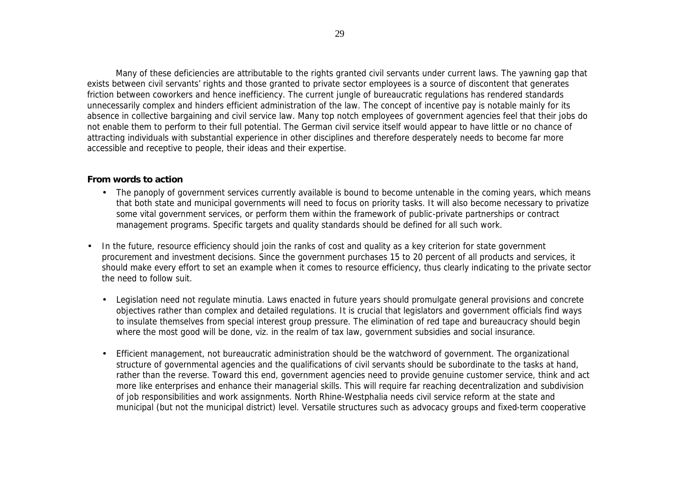Many of these deficiencies are attributable to the rights granted civil servants under current laws. The yawning gap that exists between civil servants' rights and those granted to private sector employees is a source of discontent that generates friction between coworkers and hence inefficiency. The current jungle of bureaucratic regulations has rendered standards unnecessarily complex and hinders efficient administration of the law. The concept of incentive pay is notable mainly for its absence in collective bargaining and civil service law. Many top notch employees of government agencies feel that their jobs do not enable them to perform to their full potential. The German civil service itself would appear to have little or no chance of attracting individuals with substantial experience in other disciplines and therefore desperately needs to become far more accessible and receptive to people, their ideas and their expertise.

## **From words to action**

- The panoply of government services currently available is bound to become untenable in the coming years, which means that both state and municipal governments will need to focus on priority tasks. It will also become necessary to privatize some vital government services, or perform them within the framework of public-private partnerships or contract management programs. Specific targets and quality standards should be defined for all such work.
- In the future, resource efficiency should join the ranks of cost and quality as a key criterion for state government procurement and investment decisions. Since the government purchases 15 to 20 percent of all products and services, it should make every effort to set an example when it comes to resource efficiency, thus clearly indicating to the private sector the need to follow suit.
	- Legislation need not regulate minutia. Laws enacted in future years should promulgate general provisions and concrete objectives rather than complex and detailed regulations. It is crucial that legislators and government officials find ways to insulate themselves from special interest group pressure. The elimination of red tape and bureaucracy should begin where the most good will be done, viz. in the realm of tax law, government subsidies and social insurance.
	- Efficient management, not bureaucratic administration should be the watchword of government. The organizational structure of governmental agencies and the qualifications of civil servants should be subordinate to the tasks at hand, rather than the reverse. Toward this end, government agencies need to provide genuine customer service, think and act more like enterprises and enhance their managerial skills. This will require far reaching decentralization and subdivision of job responsibilities and work assignments. North Rhine-Westphalia needs civil service reform at the state and municipal (but not the municipal district) level. Versatile structures such as advocacy groups and fixed-term cooperative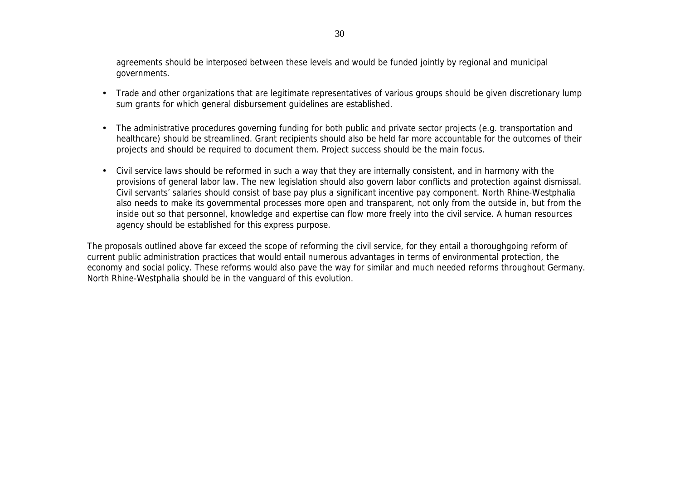agreements should be interposed between these levels and would be funded jointly by regional and municipal governments.

- Trade and other organizations that are legitimate representatives of various groups should be given discretionary lump sum grants for which general disbursement guidelines are established.
- The administrative procedures governing funding for both public and private sector projects (e.g. transportation and healthcare) should be streamlined. Grant recipients should also be held far more accountable for the outcomes of their projects and should be required to document them. Project success should be the main focus.
- Civil service laws should be reformed in such a way that they are internally consistent, and in harmony with the provisions of general labor law. The new legislation should also govern labor conflicts and protection against dismissal. Civil servants' salaries should consist of base pay plus a significant incentive pay component. North Rhine-Westphalia also needs to make its governmental processes more open and transparent, not only from the outside in, but from the inside out so that personnel, knowledge and expertise can flow more freely into the civil service. A human resources agency should be established for this express purpose.

The proposals outlined above far exceed the scope of reforming the civil service, for they entail a thoroughgoing reform of current public administration practices that would entail numerous advantages in terms of environmental protection, the economy and social policy. These reforms would also pave the way for similar and much needed reforms throughout Germany. North Rhine-Westphalia should be in the vanguard of this evolution.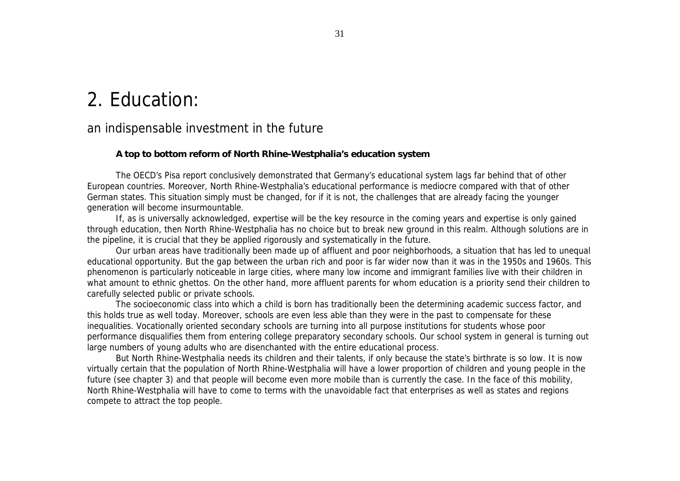# 2. Education:

# an indispensable investment in the future

## **A top to bottom reform of North Rhine-Westphalia's education system**

The OECD's Pisa report conclusively demonstrated that Germany's educational system lags far behind that of other European countries. Moreover, North Rhine-Westphalia's educational performance is mediocre compared with that of other German states. This situation simply must be changed, for if it is not, the challenges that are already facing the younger generation will become insurmountable.

If, as is universally acknowledged, expertise will be the key resource in the coming years and expertise is only gained through education, then North Rhine-Westphalia has no choice but to break new ground in this realm. Although solutions are in the pipeline, it is crucial that they be applied rigorously and systematically in the future.

Our urban areas have traditionally been made up of affluent and poor neighborhoods, a situation that has led to unequal educational opportunity. But the gap between the urban rich and poor is far wider now than it was in the 1950s and 1960s. This phenomenon is particularly noticeable in large cities, where many low income and immigrant families live with their children in what amount to ethnic ghettos. On the other hand, more affluent parents for whom education is a priority send their children to carefully selected public or private schools.

The socioeconomic class into which a child is born has traditionally been the determining academic success factor, and this holds true as well today. Moreover, schools are even less able than they were in the past to compensate for these inequalities. Vocationally oriented secondary schools are turning into all purpose institutions for students whose poor performance disqualifies them from entering college preparatory secondary schools. Our school system in general is turning out large numbers of young adults who are disenchanted with the entire educational process.

But North Rhine-Westphalia needs its children and their talents, if only because the state's birthrate is so low. It is now virtually certain that the population of North Rhine-Westphalia will have a lower proportion of children and young people in the future (see chapter 3) and that people will become even more mobile than is currently the case. In the face of this mobility, North Rhine-Westphalia will have to come to terms with the unavoidable fact that enterprises as well as states and regions compete to attract the top people.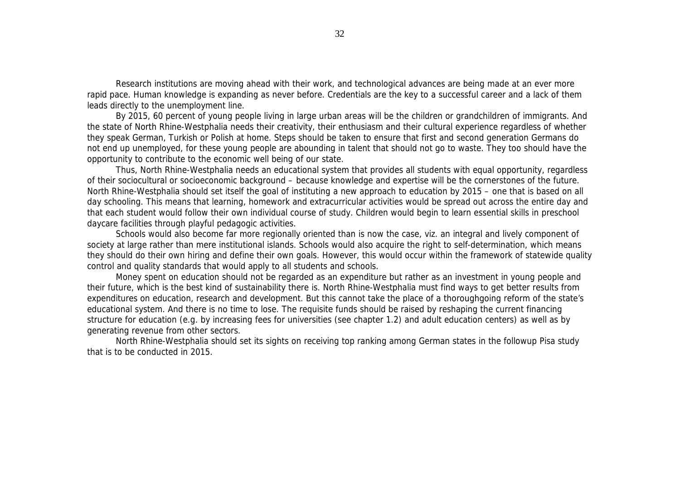Research institutions are moving ahead with their work, and technological advances are being made at an ever more rapid pace. Human knowledge is expanding as never before. Credentials are the key to a successful career and a lack of them leads directly to the unemployment line.

By 2015, 60 percent of young people living in large urban areas will be the children or grandchildren of immigrants. And the state of North Rhine-Westphalia needs their creativity, their enthusiasm and their cultural experience regardless of whether they speak German, Turkish or Polish at home. Steps should be taken to ensure that first and second generation Germans do not end up unemployed, for these young people are abounding in talent that should not go to waste. They too should have the opportunity to contribute to the economic well being of our state.

Thus, North Rhine-Westphalia needs an educational system that provides all students with equal opportunity, regardless of their sociocultural or socioeconomic background – because knowledge and expertise will be the cornerstones of the future. North Rhine-Westphalia should set itself the goal of instituting a new approach to education by 2015 – one that is based on all day schooling. This means that learning, homework and extracurricular activities would be spread out across the entire day and that each student would follow their own individual course of study. Children would begin to learn essential skills in preschool daycare facilities through playful pedagogic activities.

Schools would also become far more regionally oriented than is now the case, viz. an integral and lively component of society at large rather than mere institutional islands. Schools would also acquire the right to self-determination, which means they should do their own hiring and define their own goals. However, this would occur within the framework of statewide quality control and quality standards that would apply to all students and schools.

Money spent on education should not be regarded as an expenditure but rather as an investment in young people and their future, which is the best kind of sustainability there is. North Rhine-Westphalia must find ways to get better results from expenditures on education, research and development. But this cannot take the place of a thoroughgoing reform of the state's educational system. And there is no time to lose. The requisite funds should be raised by reshaping the current financing structure for education (e.g. by increasing fees for universities (see chapter 1.2) and adult education centers) as well as by generating revenue from other sectors.

North Rhine-Westphalia should set its sights on receiving top ranking among German states in the followup Pisa study that is to be conducted in 2015.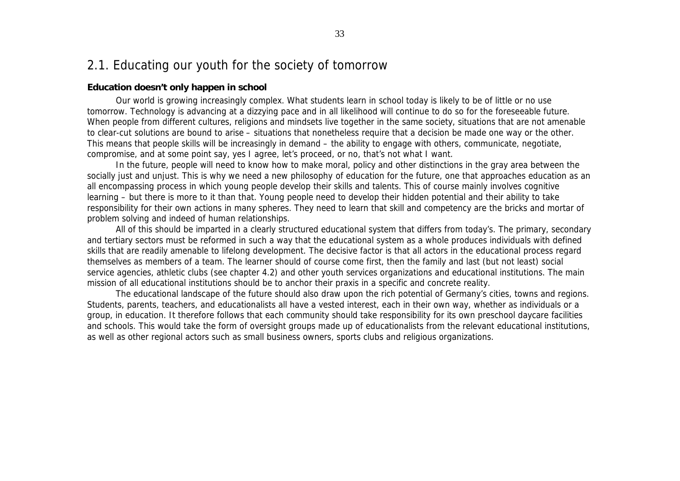## 2.1. Educating our youth for the society of tomorrow

## **Education doesn't only happen in school**

Our world is growing increasingly complex. What students learn in school today is likely to be of little or no use tomorrow. Technology is advancing at a dizzying pace and in all likelihood will continue to do so for the foreseeable future. When people from different cultures, religions and mindsets live together in the same society, situations that are not amenable to clear-cut solutions are bound to arise – situations that nonetheless require that a decision be made one way or the other. This means that people skills will be increasingly in demand – the ability to engage with others, communicate, negotiate, compromise, and at some point say, yes I agree, let's proceed, or no, that's not what I want.

In the future, people will need to know how to make moral, policy and other distinctions in the gray area between the socially just and unjust. This is why we need a new philosophy of education for the future, one that approaches education as an all encompassing process in which young people develop their skills and talents. This of course mainly involves cognitive learning – but there is more to it than that. Young people need to develop their hidden potential and their ability to take responsibility for their own actions in many spheres. They need to learn that skill and competency are the bricks and mortar of problem solving and indeed of human relationships.

All of this should be imparted in a clearly structured educational system that differs from today's. The primary, secondary and tertiary sectors must be reformed in such a way that the educational system as a whole produces individuals with defined skills that are readily amenable to lifelong development. The decisive factor is that all actors in the educational process regard themselves as members of a team. The learner should of course come first, then the family and last (but not least) social service agencies, athletic clubs (see chapter 4.2) and other youth services organizations and educational institutions. The main mission of all educational institutions should be to anchor their praxis in a specific and concrete reality.

The educational landscape of the future should also draw upon the rich potential of Germany's cities, towns and regions. Students, parents, teachers, and educationalists all have a vested interest, each in their own way, whether as individuals or a group, in education. It therefore follows that each community should take responsibility for its own preschool daycare facilities and schools. This would take the form of oversight groups made up of educationalists from the relevant educational institutions, as well as other regional actors such as small business owners, sports clubs and religious organizations.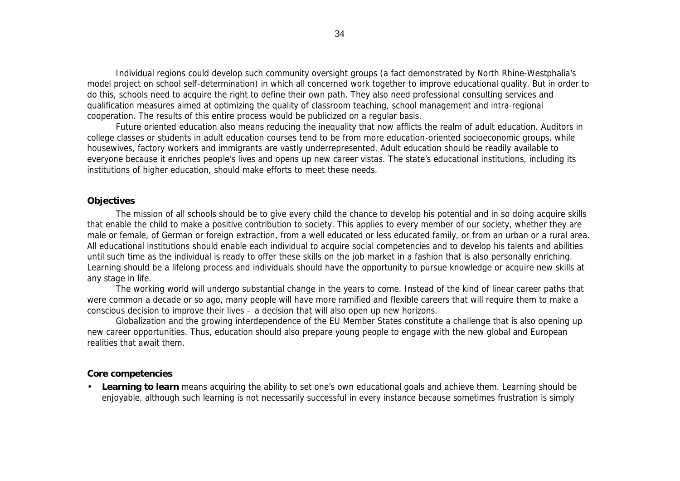Individual regions could develop such community oversight groups (a fact demonstrated by North Rhine-Westphalia's model project on school self-determination) in which all concerned work together to improve educational quality. But in order to do this, schools need to acquire the right to define their own path. They also need professional consulting services and qualification measures aimed at optimizing the quality of classroom teaching, school management and intra-regional cooperation. The results of this entire process would be publicized on a regular basis.

Future oriented education also means reducing the inequality that now afflicts the realm of adult education. Auditors in college classes or students in adult education courses tend to be from more education-oriented socioeconomic groups, while housewives, factory workers and immigrants are vastly underrepresented. Adult education should be readily available to everyone because it enriches people's lives and opens up new career vistas. The state's educational institutions, including its institutions of higher education, should make efforts to meet these needs.

## **Objectives**

The mission of all schools should be to give every child the chance to develop his potential and in so doing acquire skills that enable the child to make a positive contribution to society. This applies to every member of our society, whether they are male or female, of German or foreign extraction, from a well educated or less educated family, or from an urban or a rural area. All educational institutions should enable each individual to acquire social competencies and to develop his talents and abilities until such time as the individual is ready to offer these skills on the job market in a fashion that is also personally enriching. Learning should be a lifelong process and individuals should have the opportunity to pursue knowledge or acquire new skills at any stage in life.

The working world will undergo substantial change in the years to come. Instead of the kind of linear career paths that were common a decade or so ago, many people will have more ramified and flexible careers that will require them to make a conscious decision to improve their lives – a decision that will also open up new horizons.

Globalization and the growing interdependence of the EU Member States constitute a challenge that is also opening up new career opportunities. Thus, education should also prepare young people to engage with the new global and European realities that await them.

## **Core competencies**

• **Learning to learn** means acquiring the ability to set one's own educational goals and achieve them. Learning should be enjoyable, although such learning is not necessarily successful in every instance because sometimes frustration is simply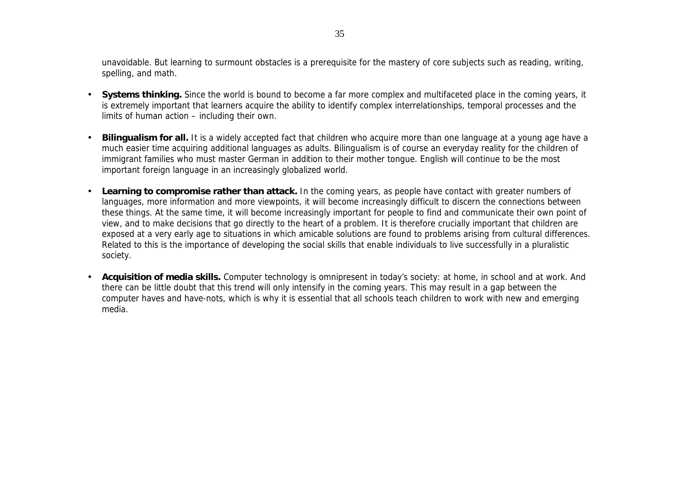unavoidable. But learning to surmount obstacles is a prerequisite for the mastery of core subjects such as reading, writing, spelling, and math.

- **Systems thinking.** Since the world is bound to become a far more complex and multifaceted place in the coming years, it is extremely important that learners acquire the ability to identify complex interrelationships, temporal processes and the limits of human action – including their own.
- **Bilingualism for all.** It is a widely accepted fact that children who acquire more than one language at a young age have a much easier time acquiring additional languages as adults. Bilingualism is of course an everyday reality for the children of immigrant families who must master German in addition to their mother tongue. English will continue to be the most important foreign language in an increasingly globalized world.
- **Learning to compromise rather than attack.** In the coming years, as people have contact with greater numbers of languages, more information and more viewpoints, it will become increasingly difficult to discern the connections between these things. At the same time, it will become increasingly important for people to find and communicate their own point of view, and to make decisions that go directly to the heart of a problem. It is therefore crucially important that children are exposed at a very early age to situations in which amicable solutions are found to problems arising from cultural differences. Related to this is the importance of developing the social skills that enable individuals to live successfully in a pluralistic society.
- **Acquisition of media skills.** Computer technology is omnipresent in today's society: at home, in school and at work. And there can be little doubt that this trend will only intensify in the coming years. This may result in a gap between the computer haves and have-nots, which is why it is essential that all schools teach children to work with new and emerging media.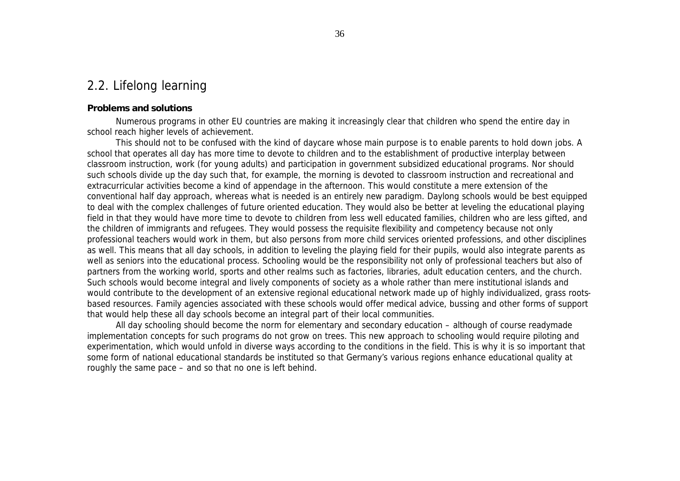# 2.2. Lifelong learning

## **Problems and solutions**

Numerous programs in other EU countries are making it increasingly clear that children who spend the entire day in school reach higher levels of achievement.

This should not to be confused with the kind of daycare whose main purpose is to enable parents to hold down jobs. A school that operates all day has more time to devote to children and to the establishment of productive interplay between classroom instruction, work (for young adults) and participation in government subsidized educational programs. Nor should such schools divide up the day such that, for example, the morning is devoted to classroom instruction and recreational and extracurricular activities become a kind of appendage in the afternoon. This would constitute a mere extension of the conventional half day approach, whereas what is needed is an entirely new paradigm. Daylong schools would be best equipped to deal with the complex challenges of future oriented education. They would also be better at leveling the educational playing field in that they would have more time to devote to children from less well educated families, children who are less gifted, and the children of immigrants and refugees. They would possess the requisite flexibility and competency because not only professional teachers would work in them, but also persons from more child services oriented professions, and other disciplines as well. This means that all day schools, in addition to leveling the playing field for their pupils, would also integrate parents as well as seniors into the educational process. Schooling would be the responsibility not only of professional teachers but also of partners from the working world, sports and other realms such as factories, libraries, adult education centers, and the church. Such schools would become integral and lively components of society as a whole rather than mere institutional islands and would contribute to the development of an extensive regional educational network made up of highly individualized, grass rootsbased resources. Family agencies associated with these schools would offer medical advice, bussing and other forms of support that would help these all day schools become an integral part of their local communities.

All day schooling should become the norm for elementary and secondary education – although of course readymade implementation concepts for such programs do not grow on trees. This new approach to schooling would require piloting and experimentation, which would unfold in diverse ways according to the conditions in the field. This is why it is so important that some form of national educational standards be instituted so that Germany's various regions enhance educational quality at roughly the same pace – and so that no one is left behind.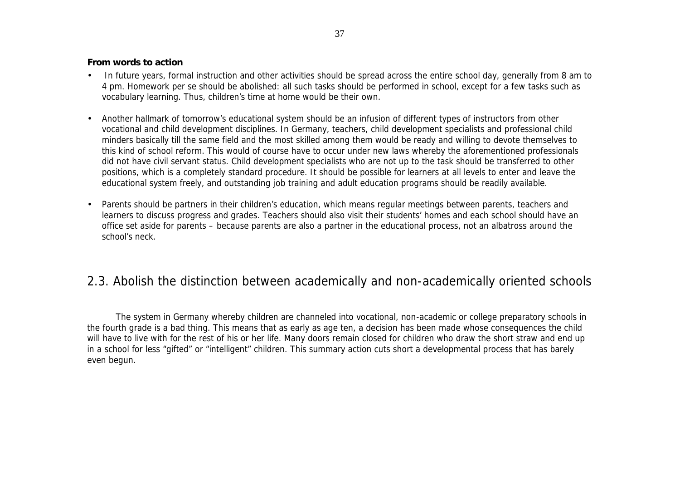#### **From words to action**

- In future years, formal instruction and other activities should be spread across the entire school day, generally from 8 am to 4 pm. Homework per se should be abolished: all such tasks should be performed in school, except for a few tasks such as vocabulary learning. Thus, children's time at home would be their own.
- Another hallmark of tomorrow's educational system should be an infusion of different types of instructors from other vocational and child development disciplines. In Germany, teachers, child development specialists and professional child minders basically till the same field and the most skilled among them would be ready and willing to devote themselves to this kind of school reform. This would of course have to occur under new laws whereby the aforementioned professionals did not have civil servant status. Child development specialists who are not up to the task should be transferred to other positions, which is a completely standard procedure. It should be possible for learners at all levels to enter and leave the educational system freely, and outstanding job training and adult education programs should be readily available.
- Parents should be partners in their children's education, which means regular meetings between parents, teachers and learners to discuss progress and grades. Teachers should also visit their students' homes and each school should have an office set aside for parents – because parents are also a partner in the educational process, not an albatross around the school's neck.

# 2.3. Abolish the distinction between academically and non-academically oriented schools

The system in Germany whereby children are channeled into vocational, non-academic or college preparatory schools in the fourth grade is a bad thing. This means that as early as age ten, a decision has been made whose consequences the child will have to live with for the rest of his or her life. Many doors remain closed for children who draw the short straw and end up in a school for less "gifted" or "intelligent" children. This summary action cuts short a developmental process that has barely even begun.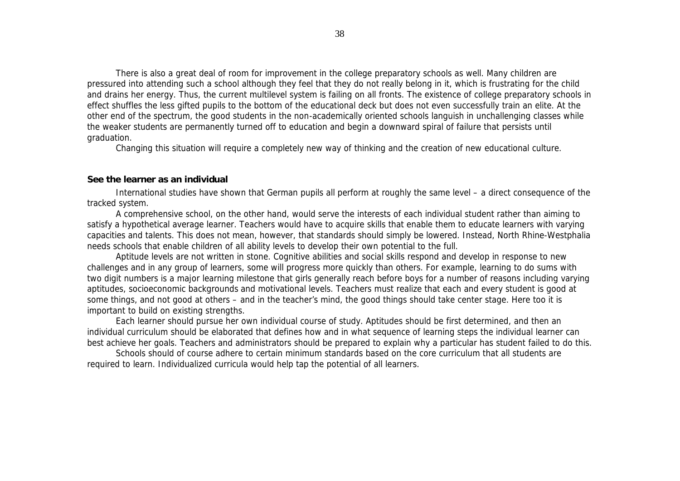There is also a great deal of room for improvement in the college preparatory schools as well. Many children are pressured into attending such a school although they feel that they do not really belong in it, which is frustrating for the child and drains her energy. Thus, the current multilevel system is failing on all fronts. The existence of college preparatory schools in effect shuffles the less gifted pupils to the bottom of the educational deck but does not even successfully train an elite. At the other end of the spectrum, the good students in the non-academically oriented schools languish in unchallenging classes while the weaker students are permanently turned off to education and begin a downward spiral of failure that persists until graduation.

Changing this situation will require a completely new way of thinking and the creation of new educational culture.

#### **See the learner as an individual**

International studies have shown that German pupils all perform at roughly the same level – a direct consequence of the tracked system.

A comprehensive school, on the other hand, would serve the interests of each individual student rather than aiming to satisfy a hypothetical average learner. Teachers would have to acquire skills that enable them to educate learners with varying capacities and talents. This does not mean, however, that standards should simply be lowered. Instead, North Rhine-Westphalia needs schools that enable children of all ability levels to develop their own potential to the full.

Aptitude levels are not written in stone. Cognitive abilities and social skills respond and develop in response to new challenges and in any group of learners, some will progress more quickly than others. For example, learning to do sums with two digit numbers is a major learning milestone that girls generally reach before boys for a number of reasons including varying aptitudes, socioeconomic backgrounds and motivational levels. Teachers must realize that each and every student is good at some things, and not good at others – and in the teacher's mind, the good things should take center stage. Here too it is important to build on existing strengths.

Each learner should pursue her own individual course of study. Aptitudes should be first determined, and then an individual curriculum should be elaborated that defines how and in what sequence of learning steps the individual learner can best achieve her goals. Teachers and administrators should be prepared to explain why a particular has student failed to do this.

Schools should of course adhere to certain minimum standards based on the core curriculum that all students are required to learn. Individualized curricula would help tap the potential of all learners.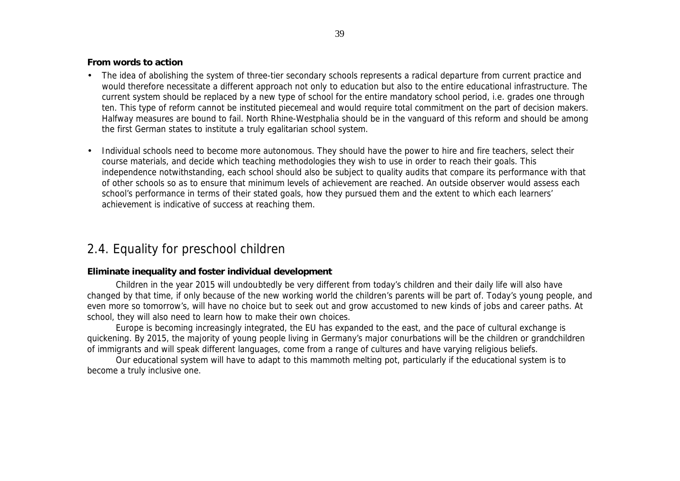#### **From words to action**

- The idea of abolishing the system of three-tier secondary schools represents a radical departure from current practice and would therefore necessitate a different approach not only to education but also to the entire educational infrastructure. The current system should be replaced by a new type of school for the entire mandatory school period, i.e. grades one through ten. This type of reform cannot be instituted piecemeal and would require total commitment on the part of decision makers. Halfway measures are bound to fail. North Rhine-Westphalia should be in the vanguard of this reform and should be among the first German states to institute a truly egalitarian school system.
- Individual schools need to become more autonomous. They should have the power to hire and fire teachers, select their course materials, and decide which teaching methodologies they wish to use in order to reach their goals. This independence notwithstanding, each school should also be subject to quality audits that compare its performance with that of other schools so as to ensure that minimum levels of achievement are reached. An outside observer would assess each school's performance in terms of their stated goals, how they pursued them and the extent to which each learners' achievement is indicative of success at reaching them.

# 2.4. Equality for preschool children

#### **Eliminate inequality and foster individual development**

Children in the year 2015 will undoubtedly be very different from today's children and their daily life will also have changed by that time, if only because of the new working world the children's parents will be part of. Today's young people, and even more so tomorrow's, will have no choice but to seek out and grow accustomed to new kinds of jobs and career paths. At school, they will also need to learn how to make their own choices.

Europe is becoming increasingly integrated, the EU has expanded to the east, and the pace of cultural exchange is quickening. By 2015, the majority of young people living in Germany's major conurbations will be the children or grandchildren of immigrants and will speak different languages, come from a range of cultures and have varying religious beliefs.

Our educational system will have to adapt to this mammoth melting pot, particularly if the educational system is to become a truly inclusive one.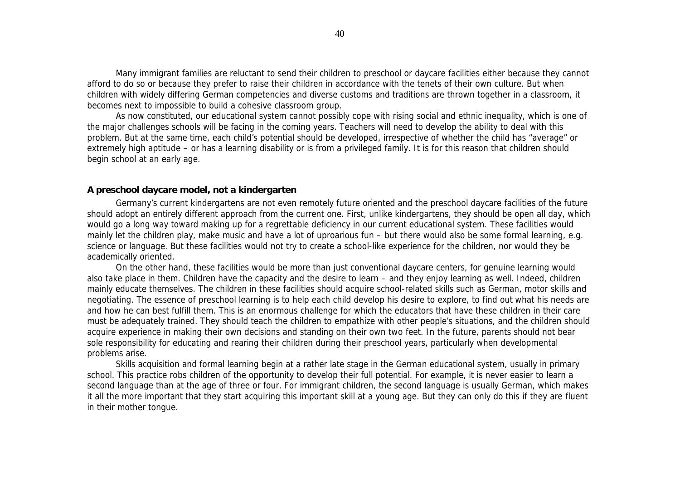Many immigrant families are reluctant to send their children to preschool or daycare facilities either because they cannot afford to do so or because they prefer to raise their children in accordance with the tenets of their own culture. But when children with widely differing German competencies and diverse customs and traditions are thrown together in a classroom, it becomes next to impossible to build a cohesive classroom group.

As now constituted, our educational system cannot possibly cope with rising social and ethnic inequality, which is one of the major challenges schools will be facing in the coming years. Teachers will need to develop the ability to deal with this problem. But at the same time, each child's potential should be developed, irrespective of whether the child has "average" or extremely high aptitude – or has a learning disability or is from a privileged family. It is for this reason that children should begin school at an early age.

#### **A preschool daycare model, not a kindergarten**

Germany's current kindergartens are not even remotely future oriented and the preschool daycare facilities of the future should adopt an entirely different approach from the current one. First, unlike kindergartens, they should be open all day, which would go a long way toward making up for a regrettable deficiency in our current educational system. These facilities would mainly let the children play, make music and have a lot of uproarious fun – but there would also be some formal learning, e.g. science or language. But these facilities would not try to create a school-like experience for the children, nor would they be academically oriented.

On the other hand, these facilities would be more than just conventional daycare centers, for genuine learning would also take place in them. Children have the capacity and the desire to learn – and they enjoy learning as well. Indeed, children mainly educate themselves. The children in these facilities should acquire school-related skills such as German, motor skills and negotiating. The essence of preschool learning is to help each child develop his desire to explore, to find out what his needs are and how he can best fulfill them. This is an enormous challenge for which the educators that have these children in their care must be adequately trained. They should teach the children to empathize with other people's situations, and the children should acquire experience in making their own decisions and standing on their own two feet. In the future, parents should not bear sole responsibility for educating and rearing their children during their preschool years, particularly when developmental problems arise.

Skills acquisition and formal learning begin at a rather late stage in the German educational system, usually in primary school. This practice robs children of the opportunity to develop their full potential. For example, it is never easier to learn a second language than at the age of three or four. For immigrant children, the second language is usually German, which makes it all the more important that they start acquiring this important skill at a young age. But they can only do this if they are fluent in their mother tongue.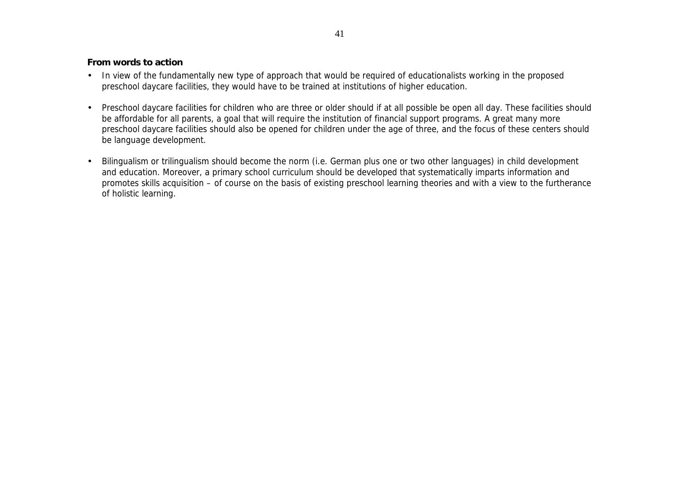#### **From words to action**

- In view of the fundamentally new type of approach that would be required of educationalists working in the proposed preschool daycare facilities, they would have to be trained at institutions of higher education.
- Preschool daycare facilities for children who are three or older should if at all possible be open all day. These facilities should be affordable for all parents, a goal that will require the institution of financial support programs. A great many more preschool daycare facilities should also be opened for children under the age of three, and the focus of these centers should be language development.
- Bilingualism or trilingualism should become the norm (i.e. German plus one or two other languages) in child development and education. Moreover, a primary school curriculum should be developed that systematically imparts information and promotes skills acquisition – of course on the basis of existing preschool learning theories and with a view to the furtherance of holistic learning.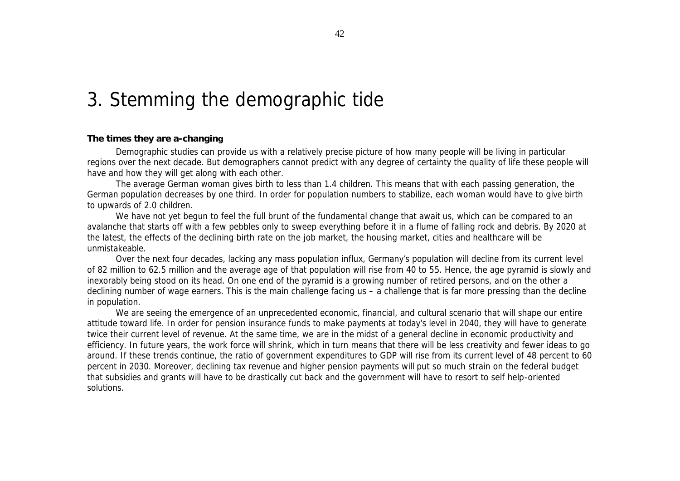# 3. Stemming the demographic tide

#### **The times they are a-changing**

Demographic studies can provide us with a relatively precise picture of how many people will be living in particular regions over the next decade. But demographers cannot predict with any degree of certainty the quality of life these people will have and how they will get along with each other.

The average German woman gives birth to less than 1.4 children. This means that with each passing generation, the German population decreases by one third. In order for population numbers to stabilize, each woman would have to give birth to upwards of 2.0 children.

We have not yet begun to feel the full brunt of the fundamental change that await us, which can be compared to an avalanche that starts off with a few pebbles only to sweep everything before it in a flume of falling rock and debris. By 2020 at the latest, the effects of the declining birth rate on the job market, the housing market, cities and healthcare will be unmistakeable.

Over the next four decades, lacking any mass population influx, Germany's population will decline from its current level of 82 million to 62.5 million and the average age of that population will rise from 40 to 55. Hence, the age pyramid is slowly and inexorably being stood on its head. On one end of the pyramid is a growing number of retired persons, and on the other a declining number of wage earners. This is the main challenge facing us – a challenge that is far more pressing than the decline in population.

We are seeing the emergence of an unprecedented economic, financial, and cultural scenario that will shape our entire attitude toward life. In order for pension insurance funds to make payments at today's level in 2040, they will have to generate twice their current level of revenue. At the same time, we are in the midst of a general decline in economic productivity and efficiency. In future years, the work force will shrink, which in turn means that there will be less creativity and fewer ideas to go around. If these trends continue, the ratio of government expenditures to GDP will rise from its current level of 48 percent to 60 percent in 2030. Moreover, declining tax revenue and higher pension payments will put so much strain on the federal budget that subsidies and grants will have to be drastically cut back and the government will have to resort to self help-oriented solutions.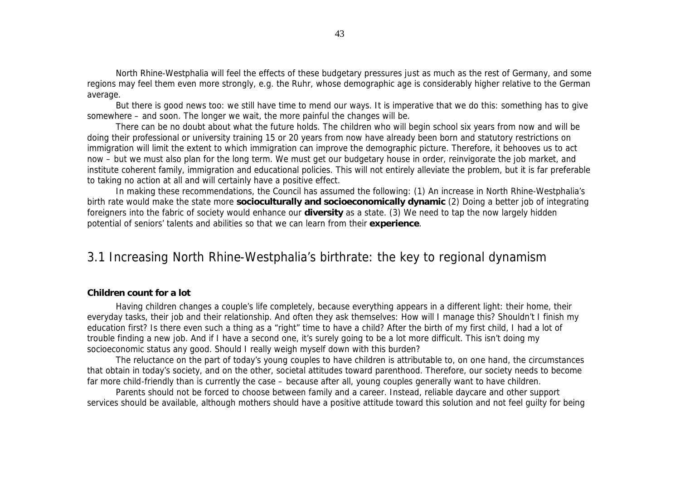North Rhine-Westphalia will feel the effects of these budgetary pressures just as much as the rest of Germany, and some regions may feel them even more strongly, e.g. the Ruhr, whose demographic age is considerably higher relative to the German average.

But there is good news too: we still have time to mend our ways. It is imperative that we do this: something has to give somewhere – and soon. The longer we wait, the more painful the changes will be.

There can be no doubt about what the future holds. The children who will begin school six years from now and will be doing their professional or university training 15 or 20 years from now have already been born and statutory restrictions on immigration will limit the extent to which immigration can improve the demographic picture. Therefore, it behooves us to act now – but we must also plan for the long term. We must get our budgetary house in order, reinvigorate the job market, and institute coherent family, immigration and educational policies. This will not entirely alleviate the problem, but it is far preferable to taking no action at all and will certainly have a positive effect.

In making these recommendations, the Council has assumed the following: (1) An increase in North Rhine-Westphalia's birth rate would make the state more **socioculturally and socioeconomically dynamic** (2) Doing a better job of integrating foreigners into the fabric of society would enhance our **diversity** as a state. (3) We need to tap the now largely hidden potential of seniors' talents and abilities so that we can learn from their **experience**.

### 3.1 Increasing North Rhine-Westphalia's birthrate: the key to regional dynamism

#### **Children count for a lot**

Having children changes a couple's life completely, because everything appears in a different light: their home, their everyday tasks, their job and their relationship. And often they ask themselves: How will I manage this? Shouldn't I finish my education first? Is there even such a thing as a "right" time to have a child? After the birth of my first child, I had a lot of trouble finding a new job. And if I have a second one, it's surely going to be a lot more difficult. This isn't doing my socioeconomic status any good. Should I really weigh myself down with this burden?

The reluctance on the part of today's young couples to have children is attributable to, on one hand, the circumstances that obtain in today's society, and on the other, societal attitudes toward parenthood. Therefore, our society needs to become far more child-friendly than is currently the case – because after all, young couples generally want to have children.

Parents should not be forced to choose between family and a career. Instead, reliable daycare and other support services should be available, although mothers should have a positive attitude toward this solution and not feel guilty for being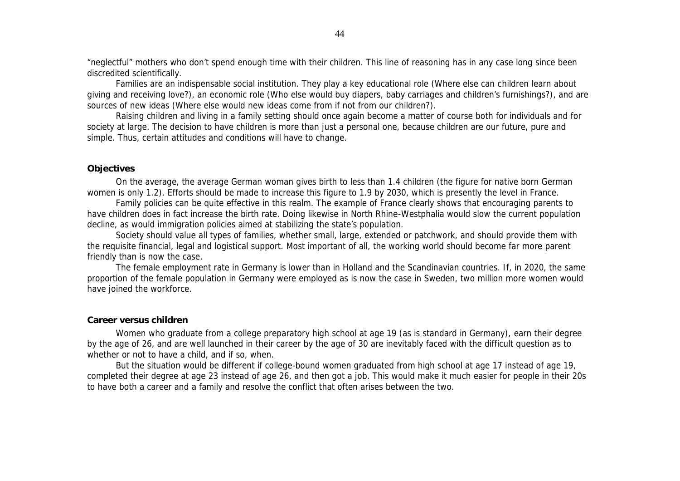"neglectful" mothers who don't spend enough time with their children. This line of reasoning has in any case long since been discredited scientifically.

Families are an indispensable social institution. They play a key educational role (Where else can children learn about giving and receiving love?), an economic role (Who else would buy diapers, baby carriages and children's furnishings?), and are sources of new ideas (Where else would new ideas come from if not from our children?).

Raising children and living in a family setting should once again become a matter of course both for individuals and for society at large. The decision to have children is more than just a personal one, because children are our future, pure and simple. Thus, certain attitudes and conditions will have to change.

#### **Objectives**

On the average, the average German woman gives birth to less than 1.4 children (the figure for native born German women is only 1.2). Efforts should be made to increase this figure to 1.9 by 2030, which is presently the level in France.

Family policies can be quite effective in this realm. The example of France clearly shows that encouraging parents to have children does in fact increase the birth rate. Doing likewise in North Rhine-Westphalia would slow the current population decline, as would immigration policies aimed at stabilizing the state's population.

Society should value all types of families, whether small, large, extended or patchwork, and should provide them with the requisite financial, legal and logistical support. Most important of all, the working world should become far more parent friendly than is now the case.

The female employment rate in Germany is lower than in Holland and the Scandinavian countries. If, in 2020, the same proportion of the female population in Germany were employed as is now the case in Sweden, two million more women would have joined the workforce.

#### **Career versus children**

Women who graduate from a college preparatory high school at age 19 (as is standard in Germany), earn their degree by the age of 26, and are well launched in their career by the age of 30 are inevitably faced with the difficult question as to whether or not to have a child, and if so, when.

But the situation would be different if college-bound women graduated from high school at age 17 instead of age 19, completed their degree at age 23 instead of age 26, and then got a job. This would make it much easier for people in their 20s to have both a career and a family and resolve the conflict that often arises between the two.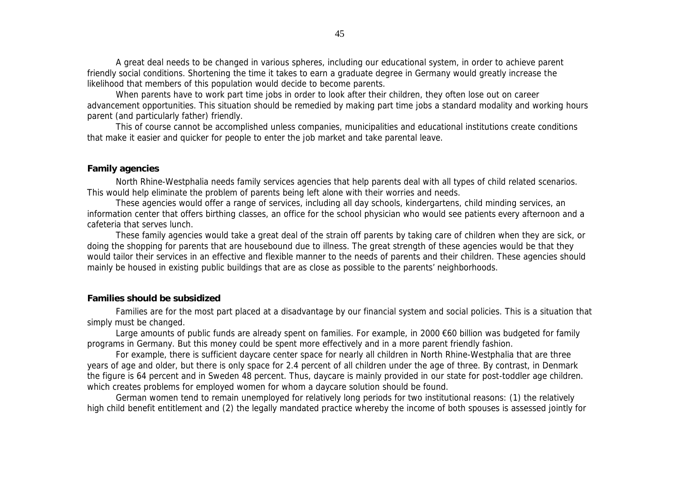A great deal needs to be changed in various spheres, including our educational system, in order to achieve parent friendly social conditions. Shortening the time it takes to earn a graduate degree in Germany would greatly increase the likelihood that members of this population would decide to become parents.

When parents have to work part time jobs in order to look after their children, they often lose out on career advancement opportunities. This situation should be remedied by making part time jobs a standard modality and working hours parent (and particularly father) friendly.

This of course cannot be accomplished unless companies, municipalities and educational institutions create conditions that make it easier and quicker for people to enter the job market and take parental leave.

#### **Family agencies**

North Rhine-Westphalia needs family services agencies that help parents deal with all types of child related scenarios. This would help eliminate the problem of parents being left alone with their worries and needs.

These agencies would offer a range of services, including all day schools, kindergartens, child minding services, an information center that offers birthing classes, an office for the school physician who would see patients every afternoon and a cafeteria that serves lunch.

These family agencies would take a great deal of the strain off parents by taking care of children when they are sick, or doing the shopping for parents that are housebound due to illness. The great strength of these agencies would be that they would tailor their services in an effective and flexible manner to the needs of parents and their children. These agencies should mainly be housed in existing public buildings that are as close as possible to the parents' neighborhoods.

#### **Families should be subsidized**

Families are for the most part placed at a disadvantage by our financial system and social policies. This is a situation that simply must be changed.

Large amounts of public funds are already spent on families. For example, in 2000 €60 billion was budgeted for family programs in Germany. But this money could be spent more effectively and in a more parent friendly fashion.

For example, there is sufficient daycare center space for nearly all children in North Rhine-Westphalia that are three years of age and older, but there is only space for 2.4 percent of all children under the age of three. By contrast, in Denmark the figure is 64 percent and in Sweden 48 percent. Thus, daycare is mainly provided in our state for post-toddler age children. which creates problems for employed women for whom a daycare solution should be found.

German women tend to remain unemployed for relatively long periods for two institutional reasons: (1) the relatively high child benefit entitlement and (2) the legally mandated practice whereby the income of both spouses is assessed jointly for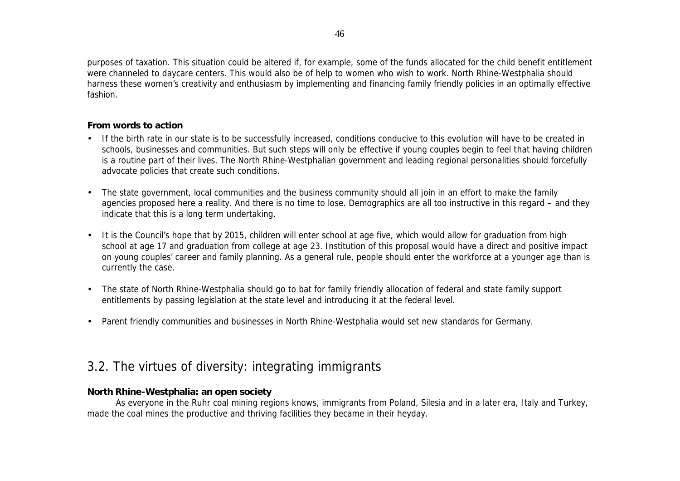purposes of taxation. This situation could be altered if, for example, some of the funds allocated for the child benefit entitlement were channeled to daycare centers. This would also be of help to women who wish to work. North Rhine-Westphalia should harness these women's creativity and enthusiasm by implementing and financing family friendly policies in an optimally effective fashion.

#### **From words to action**

- If the birth rate in our state is to be successfully increased, conditions conducive to this evolution will have to be created in schools, businesses and communities. But such steps will only be effective if young couples begin to feel that having children is a routine part of their lives. The North Rhine-Westphalian government and leading regional personalities should forcefully advocate policies that create such conditions.
- The state government, local communities and the business community should all join in an effort to make the family agencies proposed here a reality. And there is no time to lose. Demographics are all too instructive in this regard – and they indicate that this is a long term undertaking.
- It is the Council's hope that by 2015, children will enter school at age five, which would allow for graduation from high school at age 17 and graduation from college at age 23. Institution of this proposal would have a direct and positive impact on young couples' career and family planning. As a general rule, people should enter the workforce at a younger age than is currently the case.
- The state of North Rhine-Westphalia should go to bat for family friendly allocation of federal and state family support entitlements by passing legislation at the state level and introducing it at the federal level.
- Parent friendly communities and businesses in North Rhine-Westphalia would set new standards for Germany.

# 3.2. The virtues of diversity: integrating immigrants

#### **North Rhine-Westphalia: an open society**

As everyone in the Ruhr coal mining regions knows, immigrants from Poland, Silesia and in a later era, Italy and Turkey, made the coal mines the productive and thriving facilities they became in their heyday.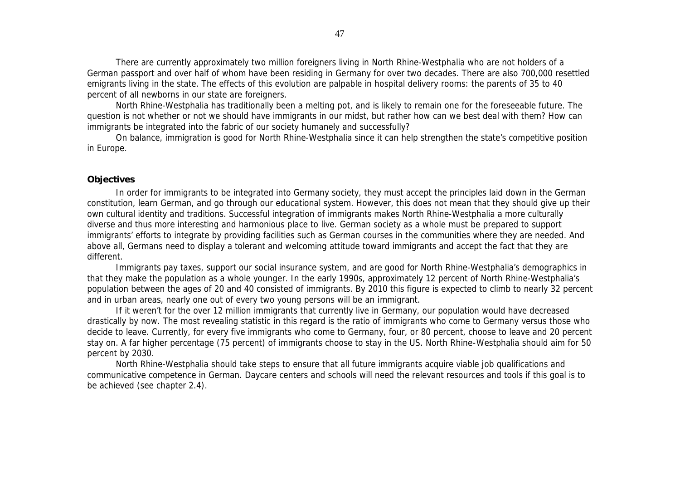There are currently approximately two million foreigners living in North Rhine-Westphalia who are not holders of a German passport and over half of whom have been residing in Germany for over two decades. There are also 700,000 resettled emigrants living in the state. The effects of this evolution are palpable in hospital delivery rooms: the parents of 35 to 40 percent of all newborns in our state are foreigners.

North Rhine-Westphalia has traditionally been a melting pot, and is likely to remain one for the foreseeable future. The question is not whether or not we should have immigrants in our midst, but rather how can we best deal with them? How can immigrants be integrated into the fabric of our society humanely and successfully?

On balance, immigration is good for North Rhine-Westphalia since it can help strengthen the state's competitive position in Europe.

#### **Objectives**

In order for immigrants to be integrated into Germany society, they must accept the principles laid down in the German constitution, learn German, and go through our educational system. However, this does not mean that they should give up their own cultural identity and traditions. Successful integration of immigrants makes North Rhine-Westphalia a more culturally diverse and thus more interesting and harmonious place to live. German society as a whole must be prepared to support immigrants' efforts to integrate by providing facilities such as German courses in the communities where they are needed. And above all, Germans need to display a tolerant and welcoming attitude toward immigrants and accept the fact that they are different.

Immigrants pay taxes, support our social insurance system, and are good for North Rhine-Westphalia's demographics in that they make the population as a whole younger. In the early 1990s, approximately 12 percent of North Rhine-Westphalia's population between the ages of 20 and 40 consisted of immigrants. By 2010 this figure is expected to climb to nearly 32 percent and in urban areas, nearly one out of every two young persons will be an immigrant.

If it weren't for the over 12 million immigrants that currently live in Germany, our population would have decreased drastically by now. The most revealing statistic in this regard is the ratio of immigrants who come to Germany versus those who decide to leave. Currently, for every five immigrants who come to Germany, four, or 80 percent, choose to leave and 20 percent stay on. A far higher percentage (75 percent) of immigrants choose to stay in the US. North Rhine-Westphalia should aim for 50 percent by 2030.

North Rhine-Westphalia should take steps to ensure that all future immigrants acquire viable job qualifications and communicative competence in German. Daycare centers and schools will need the relevant resources and tools if this goal is to be achieved (see chapter 2.4).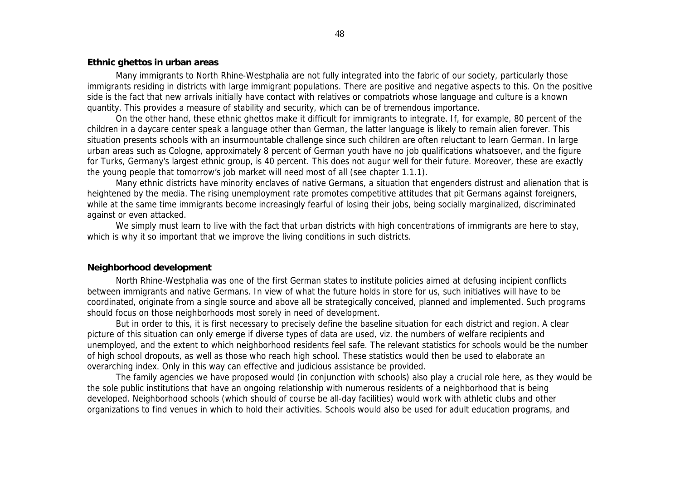#### **Ethnic ghettos in urban areas**

Many immigrants to North Rhine-Westphalia are not fully integrated into the fabric of our society, particularly those immigrants residing in districts with large immigrant populations. There are positive and negative aspects to this. On the positive side is the fact that new arrivals initially have contact with relatives or compatriots whose language and culture is a known quantity. This provides a measure of stability and security, which can be of tremendous importance.

On the other hand, these ethnic ghettos make it difficult for immigrants to integrate. If, for example, 80 percent of the children in a daycare center speak a language other than German, the latter language is likely to remain alien forever. This situation presents schools with an insurmountable challenge since such children are often reluctant to learn German. In large urban areas such as Cologne, approximately 8 percent of German youth have no job qualifications whatsoever, and the figure for Turks, Germany's largest ethnic group, is 40 percent. This does not augur well for their future. Moreover, these are exactly the young people that tomorrow's job market will need most of all (see chapter 1.1.1).

Many ethnic districts have minority enclaves of native Germans, a situation that engenders distrust and alienation that is heightened by the media. The rising unemployment rate promotes competitive attitudes that pit Germans against foreigners, while at the same time immigrants become increasingly fearful of losing their jobs, being socially marginalized, discriminated against or even attacked.

We simply must learn to live with the fact that urban districts with high concentrations of immigrants are here to stay, which is why it so important that we improve the living conditions in such districts.

#### **Neighborhood development**

North Rhine-Westphalia was one of the first German states to institute policies aimed at defusing incipient conflicts between immigrants and native Germans. In view of what the future holds in store for us, such initiatives will have to be coordinated, originate from a single source and above all be strategically conceived, planned and implemented. Such programs should focus on those neighborhoods most sorely in need of development.

But in order to this, it is first necessary to precisely define the baseline situation for each district and region. A clear picture of this situation can only emerge if diverse types of data are used, viz. the numbers of welfare recipients and unemployed, and the extent to which neighborhood residents feel safe. The relevant statistics for schools would be the number of high school dropouts, as well as those who reach high school. These statistics would then be used to elaborate an overarching index. Only in this way can effective and judicious assistance be provided.

The family agencies we have proposed would (in conjunction with schools) also play a crucial role here, as they would be the sole public institutions that have an ongoing relationship with numerous residents of a neighborhood that is being developed. Neighborhood schools (which should of course be all-day facilities) would work with athletic clubs and other organizations to find venues in which to hold their activities. Schools would also be used for adult education programs, and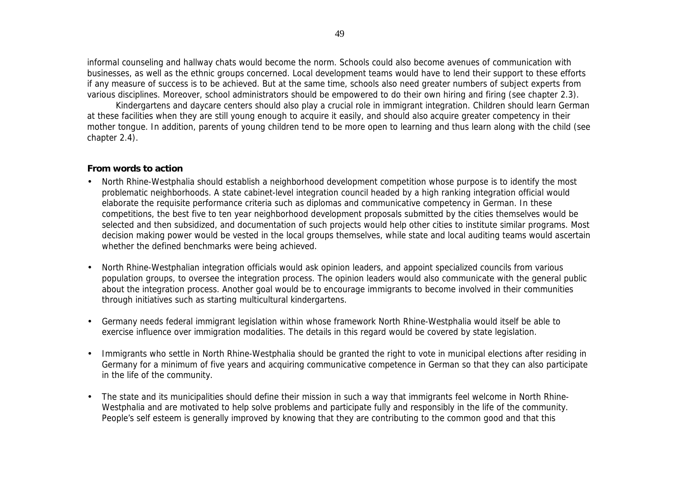informal counseling and hallway chats would become the norm. Schools could also become avenues of communication with businesses, as well as the ethnic groups concerned. Local development teams would have to lend their support to these efforts if any measure of success is to be achieved. But at the same time, schools also need greater numbers of subject experts from various disciplines. Moreover, school administrators should be empowered to do their own hiring and firing (see chapter 2.3).

Kindergartens and daycare centers should also play a crucial role in immigrant integration. Children should learn German at these facilities when they are still young enough to acquire it easily, and should also acquire greater competency in their mother tongue. In addition, parents of young children tend to be more open to learning and thus learn along with the child (see chapter 2.4).

#### **From words to action**

- North Rhine-Westphalia should establish a neighborhood development competition whose purpose is to identify the most problematic neighborhoods. A state cabinet-level integration council headed by a high ranking integration official would elaborate the requisite performance criteria such as diplomas and communicative competency in German. In these competitions, the best five to ten year neighborhood development proposals submitted by the cities themselves would be selected and then subsidized, and documentation of such projects would help other cities to institute similar programs. Most decision making power would be vested in the local groups themselves, while state and local auditing teams would ascertain whether the defined benchmarks were being achieved.
- North Rhine-Westphalian integration officials would ask opinion leaders, and appoint specialized councils from various population groups, to oversee the integration process. The opinion leaders would also communicate with the general public about the integration process. Another goal would be to encourage immigrants to become involved in their communities through initiatives such as starting multicultural kindergartens.
- Germany needs federal immigrant legislation within whose framework North Rhine-Westphalia would itself be able to exercise influence over immigration modalities. The details in this regard would be covered by state legislation.
- Immigrants who settle in North Rhine-Westphalia should be granted the right to vote in municipal elections after residing in Germany for a minimum of five years and acquiring communicative competence in German so that they can also participate in the life of the community.
- The state and its municipalities should define their mission in such a way that immigrants feel welcome in North Rhine-Westphalia and are motivated to help solve problems and participate fully and responsibly in the life of the community. People's self esteem is generally improved by knowing that they are contributing to the common good and that this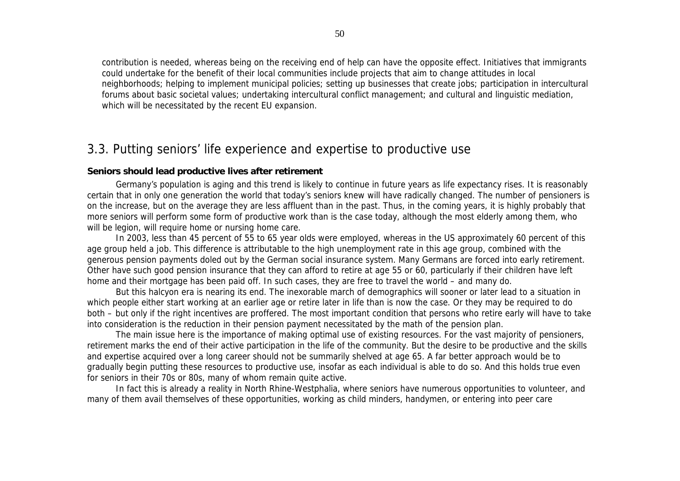contribution is needed, whereas being on the receiving end of help can have the opposite effect. Initiatives that immigrants could undertake for the benefit of their local communities include projects that aim to change attitudes in local neighborhoods; helping to implement municipal policies; setting up businesses that create jobs; participation in intercultural forums about basic societal values; undertaking intercultural conflict management; and cultural and linguistic mediation, which will be necessitated by the recent EU expansion.

### 3.3. Putting seniors' life experience and expertise to productive use

#### **Seniors should lead productive lives after retirement**

Germany's population is aging and this trend is likely to continue in future years as life expectancy rises. It is reasonably certain that in only one generation the world that today's seniors knew will have radically changed. The number of pensioners is on the increase, but on the average they are less affluent than in the past. Thus, in the coming years, it is highly probably that more seniors will perform some form of productive work than is the case today, although the most elderly among them, who will be legion, will require home or nursing home care.

In 2003, less than 45 percent of 55 to 65 year olds were employed, whereas in the US approximately 60 percent of this age group held a job. This difference is attributable to the high unemployment rate in this age group, combined with the generous pension payments doled out by the German social insurance system. Many Germans are forced into early retirement. Other have such good pension insurance that they can afford to retire at age 55 or 60, particularly if their children have left home and their mortgage has been paid off. In such cases, they are free to travel the world – and many do.

But this halcyon era is nearing its end. The inexorable march of demographics will sooner or later lead to a situation in which people either start working at an earlier age or retire later in life than is now the case. Or they may be required to do both – but only if the right incentives are proffered. The most important condition that persons who retire early will have to take into consideration is the reduction in their pension payment necessitated by the math of the pension plan.

The main issue here is the importance of making optimal use of existing resources. For the vast majority of pensioners, retirement marks the end of their active participation in the life of the community. But the desire to be productive and the skills and expertise acquired over a long career should not be summarily shelved at age 65. A far better approach would be to gradually begin putting these resources to productive use, insofar as each individual is able to do so. And this holds true even for seniors in their 70s or 80s, many of whom remain quite active.

In fact this is already a reality in North Rhine-Westphalia, where seniors have numerous opportunities to volunteer, and many of them avail themselves of these opportunities, working as child minders, handymen, or entering into peer care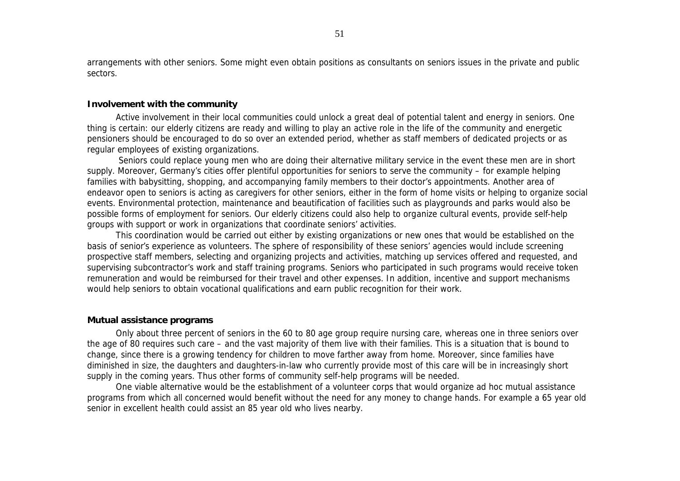arrangements with other seniors. Some might even obtain positions as consultants on seniors issues in the private and public sectors.

#### **Involvement with the community**

Active involvement in their local communities could unlock a great deal of potential talent and energy in seniors. One thing is certain: our elderly citizens are ready and willing to play an active role in the life of the community and energetic pensioners should be encouraged to do so over an extended period, whether as staff members of dedicated projects or as regular employees of existing organizations.

 Seniors could replace young men who are doing their alternative military service in the event these men are in short supply. Moreover, Germany's cities offer plentiful opportunities for seniors to serve the community – for example helping families with babysitting, shopping, and accompanying family members to their doctor's appointments. Another area of endeavor open to seniors is acting as caregivers for other seniors, either in the form of home visits or helping to organize social events. Environmental protection, maintenance and beautification of facilities such as playgrounds and parks would also be possible forms of employment for seniors. Our elderly citizens could also help to organize cultural events, provide self-help groups with support or work in organizations that coordinate seniors' activities.

This coordination would be carried out either by existing organizations or new ones that would be established on the basis of senior's experience as volunteers. The sphere of responsibility of these seniors' agencies would include screening prospective staff members, selecting and organizing projects and activities, matching up services offered and requested, and supervising subcontractor's work and staff training programs. Seniors who participated in such programs would receive token remuneration and would be reimbursed for their travel and other expenses. In addition, incentive and support mechanisms would help seniors to obtain vocational qualifications and earn public recognition for their work.

#### **Mutual assistance programs**

Only about three percent of seniors in the 60 to 80 age group require nursing care, whereas one in three seniors over the age of 80 requires such care – and the vast majority of them live with their families. This is a situation that is bound to change, since there is a growing tendency for children to move farther away from home. Moreover, since families have diminished in size, the daughters and daughters-in-law who currently provide most of this care will be in increasingly short supply in the coming years. Thus other forms of community self-help programs will be needed.

One viable alternative would be the establishment of a volunteer corps that would organize ad hoc mutual assistance programs from which all concerned would benefit without the need for any money to change hands. For example a 65 year old senior in excellent health could assist an 85 year old who lives nearby.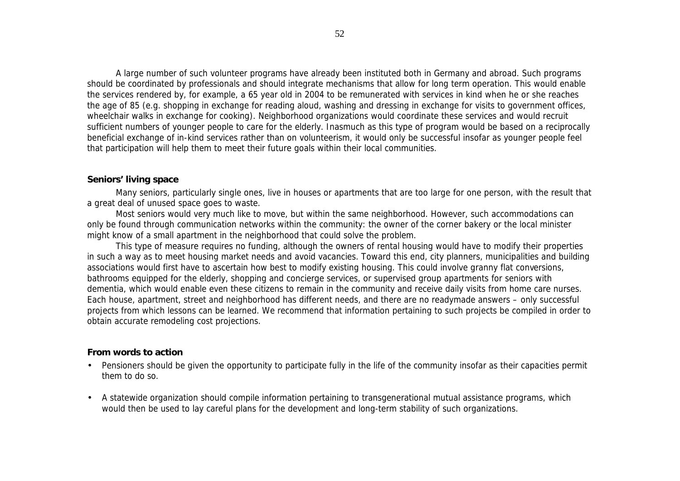A large number of such volunteer programs have already been instituted both in Germany and abroad. Such programs should be coordinated by professionals and should integrate mechanisms that allow for long term operation. This would enable the services rendered by, for example, a 65 year old in 2004 to be remunerated with services in kind when he or she reaches the age of 85 (e.g. shopping in exchange for reading aloud, washing and dressing in exchange for visits to government offices, wheelchair walks in exchange for cooking). Neighborhood organizations would coordinate these services and would recruit sufficient numbers of younger people to care for the elderly. Inasmuch as this type of program would be based on a reciprocally beneficial exchange of in-kind services rather than on volunteerism, it would only be successful insofar as younger people feel that participation will help them to meet their future goals within their local communities.

#### **Seniors' living space**

Many seniors, particularly single ones, live in houses or apartments that are too large for one person, with the result that a great deal of unused space goes to waste.

Most seniors would very much like to move, but within the same neighborhood. However, such accommodations can only be found through communication networks within the community: the owner of the corner bakery or the local minister might know of a small apartment in the neighborhood that could solve the problem.

This type of measure requires no funding, although the owners of rental housing would have to modify their properties in such a way as to meet housing market needs and avoid vacancies. Toward this end, city planners, municipalities and building associations would first have to ascertain how best to modify existing housing. This could involve granny flat conversions, bathrooms equipped for the elderly, shopping and concierge services, or supervised group apartments for seniors with dementia, which would enable even these citizens to remain in the community and receive daily visits from home care nurses. Each house, apartment, street and neighborhood has different needs, and there are no readymade answers – only successful projects from which lessons can be learned. We recommend that information pertaining to such projects be compiled in order to obtain accurate remodeling cost projections.

#### **From words to action**

- Pensioners should be given the opportunity to participate fully in the life of the community insofar as their capacities permit them to do so.
- A statewide organization should compile information pertaining to transgenerational mutual assistance programs, which would then be used to lay careful plans for the development and long-term stability of such organizations.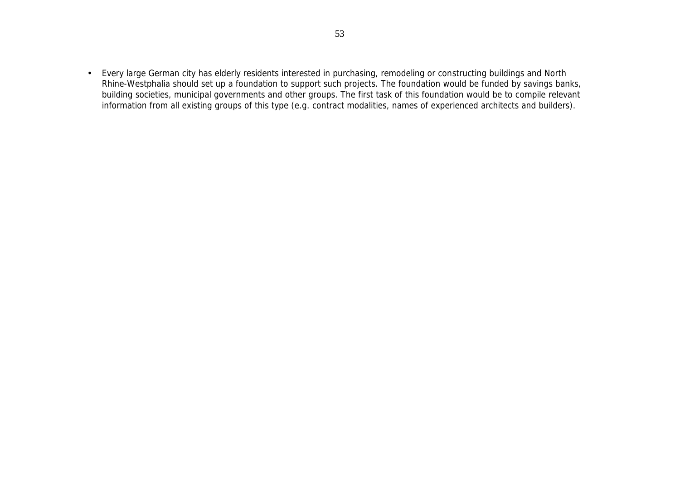• Every large German city has elderly residents interested in purchasing, remodeling or constructing buildings and North Rhine-Westphalia should set up a foundation to support such projects. The foundation would be funded by savings banks, building societies, municipal governments and other groups. The first task of this foundation would be to compile relevant information from all existing groups of this type (e.g. contract modalities, names of experienced architects and builders).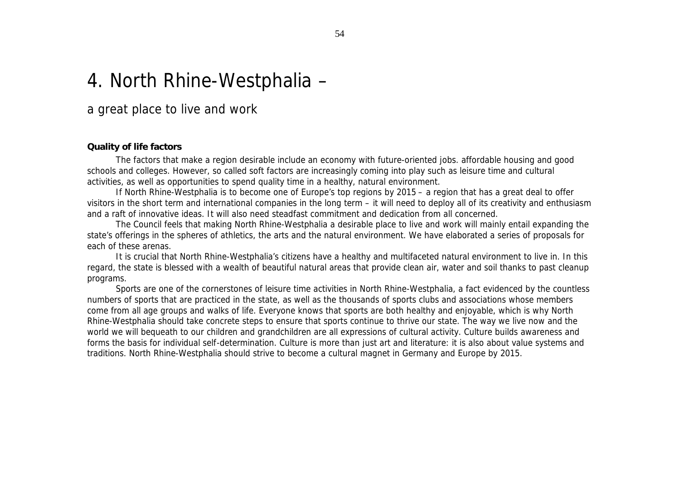# 4. North Rhine-Westphalia –

### a great place to live and work

#### **Quality of life factors**

The factors that make a region desirable include an economy with future-oriented jobs. affordable housing and good schools and colleges. However, so called soft factors are increasingly coming into play such as leisure time and cultural activities, as well as opportunities to spend quality time in a healthy, natural environment.

If North Rhine-Westphalia is to become one of Europe's top regions by 2015 – a region that has a great deal to offer visitors in the short term and international companies in the long term – it will need to deploy all of its creativity and enthusiasm and a raft of innovative ideas. It will also need steadfast commitment and dedication from all concerned.

The Council feels that making North Rhine-Westphalia a desirable place to live and work will mainly entail expanding the state's offerings in the spheres of athletics, the arts and the natural environment. We have elaborated a series of proposals for each of these arenas.

It is crucial that North Rhine-Westphalia's citizens have a healthy and multifaceted natural environment to live in. In this regard, the state is blessed with a wealth of beautiful natural areas that provide clean air, water and soil thanks to past cleanup programs.

Sports are one of the cornerstones of leisure time activities in North Rhine-Westphalia, a fact evidenced by the countless numbers of sports that are practiced in the state, as well as the thousands of sports clubs and associations whose members come from all age groups and walks of life. Everyone knows that sports are both healthy and enjoyable, which is why North Rhine-Westphalia should take concrete steps to ensure that sports continue to thrive our state. The way we live now and the world we will bequeath to our children and grandchildren are all expressions of cultural activity. Culture builds awareness and forms the basis for individual self-determination. Culture is more than just art and literature: it is also about value systems and traditions. North Rhine-Westphalia should strive to become a cultural magnet in Germany and Europe by 2015.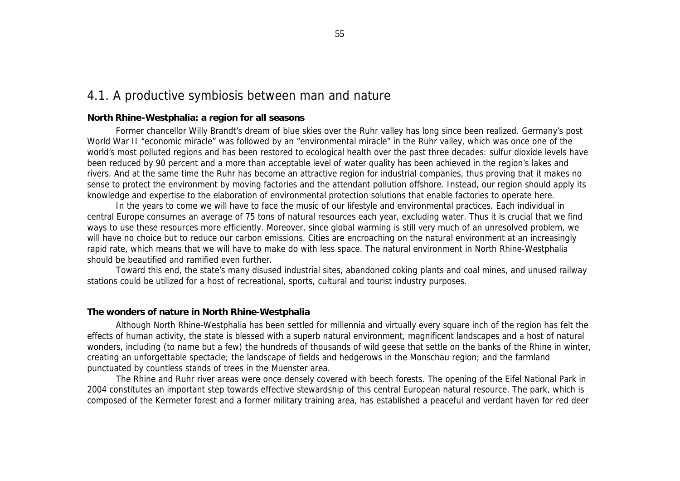### 4.1. A productive symbiosis between man and nature

#### **North Rhine-Westphalia: a region for all seasons**

Former chancellor Willy Brandt's dream of blue skies over the Ruhr valley has long since been realized. Germany's post World War II "economic miracle" was followed by an "environmental miracle" in the Ruhr valley, which was once one of the world's most polluted regions and has been restored to ecological health over the past three decades: sulfur dioxide levels have been reduced by 90 percent and a more than acceptable level of water quality has been achieved in the region's lakes and rivers. And at the same time the Ruhr has become an attractive region for industrial companies, thus proving that it makes no sense to protect the environment by moving factories and the attendant pollution offshore. Instead, our region should apply its knowledge and expertise to the elaboration of environmental protection solutions that enable factories to operate here.

In the years to come we will have to face the music of our lifestyle and environmental practices. Each individual in central Europe consumes an average of 75 tons of natural resources each year, excluding water. Thus it is crucial that we find ways to use these resources more efficiently. Moreover, since global warming is still very much of an unresolved problem, we will have no choice but to reduce our carbon emissions. Cities are encroaching on the natural environment at an increasingly rapid rate, which means that we will have to make do with less space. The natural environment in North Rhine-Westphalia should be beautified and ramified even further.

Toward this end, the state's many disused industrial sites, abandoned coking plants and coal mines, and unused railway stations could be utilized for a host of recreational, sports, cultural and tourist industry purposes.

#### **The wonders of nature in North Rhine-Westphalia**

Although North Rhine-Westphalia has been settled for millennia and virtually every square inch of the region has felt the effects of human activity, the state is blessed with a superb natural environment, magnificent landscapes and a host of natural wonders, including (to name but a few) the hundreds of thousands of wild geese that settle on the banks of the Rhine in winter, creating an unforgettable spectacle; the landscape of fields and hedgerows in the Monschau region; and the farmland punctuated by countless stands of trees in the Muenster area.

The Rhine and Ruhr river areas were once densely covered with beech forests. The opening of the Eifel National Park in 2004 constitutes an important step towards effective stewardship of this central European natural resource. The park, which is composed of the Kermeter forest and a former military training area, has established a peaceful and verdant haven for red deer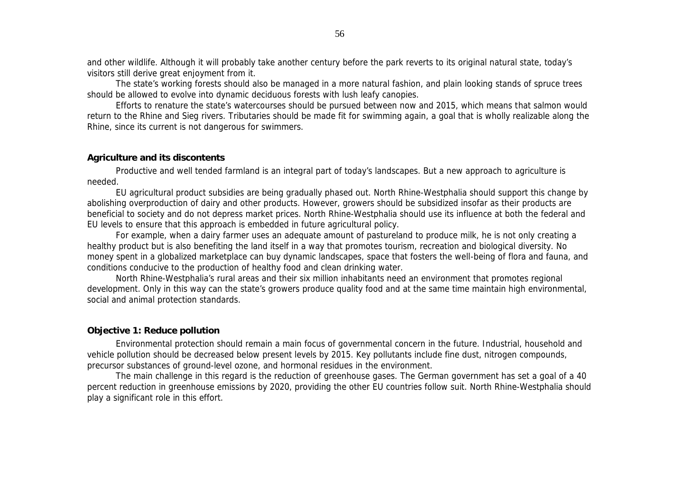and other wildlife. Although it will probably take another century before the park reverts to its original natural state, today's visitors still derive great enjoyment from it.

The state's working forests should also be managed in a more natural fashion, and plain looking stands of spruce trees should be allowed to evolve into dynamic deciduous forests with lush leafy canopies.

Efforts to renature the state's watercourses should be pursued between now and 2015, which means that salmon would return to the Rhine and Sieg rivers. Tributaries should be made fit for swimming again, a goal that is wholly realizable along the Rhine, since its current is not dangerous for swimmers.

#### **Agriculture and its discontents**

Productive and well tended farmland is an integral part of today's landscapes. But a new approach to agriculture is needed.

EU agricultural product subsidies are being gradually phased out. North Rhine-Westphalia should support this change by abolishing overproduction of dairy and other products. However, growers should be subsidized insofar as their products are beneficial to society and do not depress market prices. North Rhine-Westphalia should use its influence at both the federal and EU levels to ensure that this approach is embedded in future agricultural policy.

For example, when a dairy farmer uses an adequate amount of pastureland to produce milk, he is not only creating a healthy product but is also benefiting the land itself in a way that promotes tourism, recreation and biological diversity. No money spent in a globalized marketplace can buy dynamic landscapes, space that fosters the well-being of flora and fauna, and conditions conducive to the production of healthy food and clean drinking water.

North Rhine-Westphalia's rural areas and their six million inhabitants need an environment that promotes regional development. Only in this way can the state's growers produce quality food and at the same time maintain high environmental, social and animal protection standards.

#### **Objective 1: Reduce pollution**

Environmental protection should remain a main focus of governmental concern in the future. Industrial, household and vehicle pollution should be decreased below present levels by 2015. Key pollutants include fine dust, nitrogen compounds, precursor substances of ground-level ozone, and hormonal residues in the environment.

The main challenge in this regard is the reduction of greenhouse gases. The German government has set a goal of a 40 percent reduction in greenhouse emissions by 2020, providing the other EU countries follow suit. North Rhine-Westphalia should play a significant role in this effort.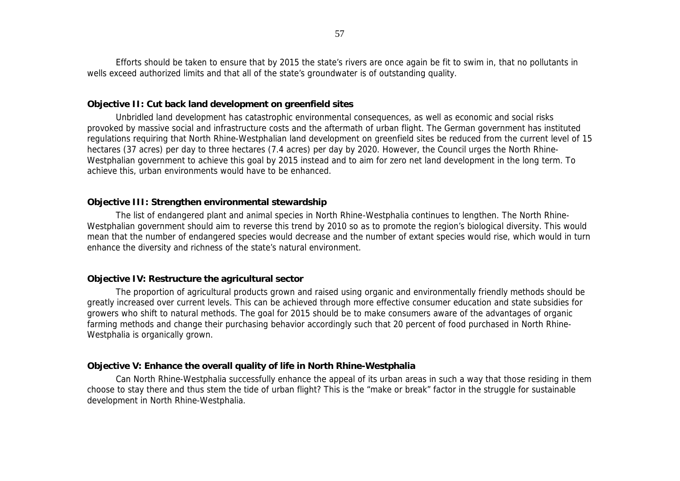Efforts should be taken to ensure that by 2015 the state's rivers are once again be fit to swim in, that no pollutants in wells exceed authorized limits and that all of the state's groundwater is of outstanding quality.

#### **Objective II: Cut back land development on greenfield sites**

Unbridled land development has catastrophic environmental consequences, as well as economic and social risks provoked by massive social and infrastructure costs and the aftermath of urban flight. The German government has instituted regulations requiring that North Rhine-Westphalian land development on greenfield sites be reduced from the current level of 15 hectares (37 acres) per day to three hectares (7.4 acres) per day by 2020. However, the Council urges the North Rhine-Westphalian government to achieve this goal by 2015 instead and to aim for zero net land development in the long term. To achieve this, urban environments would have to be enhanced.

#### **Objective III: Strengthen environmental stewardship**

The list of endangered plant and animal species in North Rhine-Westphalia continues to lengthen. The North Rhine-Westphalian government should aim to reverse this trend by 2010 so as to promote the region's biological diversity. This would mean that the number of endangered species would decrease and the number of extant species would rise, which would in turn enhance the diversity and richness of the state's natural environment.

#### **Objective IV: Restructure the agricultural sector**

The proportion of agricultural products grown and raised using organic and environmentally friendly methods should be greatly increased over current levels. This can be achieved through more effective consumer education and state subsidies for growers who shift to natural methods. The goal for 2015 should be to make consumers aware of the advantages of organic farming methods and change their purchasing behavior accordingly such that 20 percent of food purchased in North Rhine-Westphalia is organically grown.

#### **Objective V: Enhance the overall quality of life in North Rhine-Westphalia**

Can North Rhine-Westphalia successfully enhance the appeal of its urban areas in such a way that those residing in them choose to stay there and thus stem the tide of urban flight? This is the "make or break" factor in the struggle for sustainable development in North Rhine-Westphalia.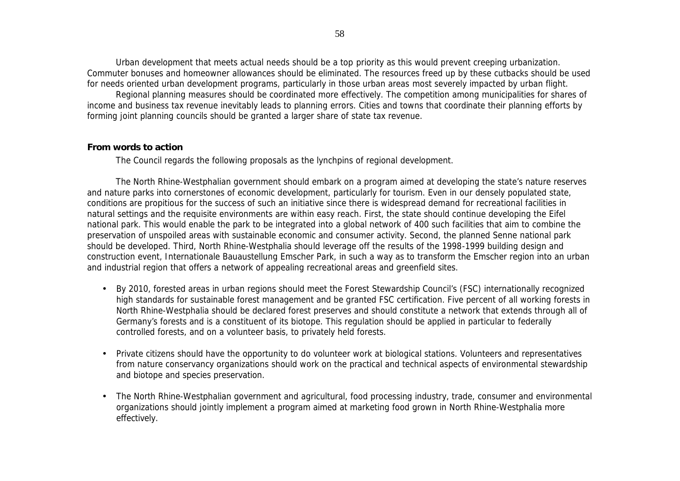Urban development that meets actual needs should be a top priority as this would prevent creeping urbanization. Commuter bonuses and homeowner allowances should be eliminated. The resources freed up by these cutbacks should be used for needs oriented urban development programs, particularly in those urban areas most severely impacted by urban flight.

Regional planning measures should be coordinated more effectively. The competition among municipalities for shares of income and business tax revenue inevitably leads to planning errors. Cities and towns that coordinate their planning efforts by forming joint planning councils should be granted a larger share of state tax revenue.

#### **From words to action**

The Council regards the following proposals as the lynchpins of regional development.

The North Rhine-Westphalian government should embark on a program aimed at developing the state's nature reserves and nature parks into cornerstones of economic development, particularly for tourism. Even in our densely populated state, conditions are propitious for the success of such an initiative since there is widespread demand for recreational facilities in natural settings and the requisite environments are within easy reach. First, the state should continue developing the Eifel national park. This would enable the park to be integrated into a global network of 400 such facilities that aim to combine the preservation of unspoiled areas with sustainable economic and consumer activity. Second, the planned Senne national park should be developed. Third, North Rhine-Westphalia should leverage off the results of the 1998-1999 building design and construction event, Internationale Bauaustellung Emscher Park, in such a way as to transform the Emscher region into an urban and industrial region that offers a network of appealing recreational areas and greenfield sites.

- By 2010, forested areas in urban regions should meet the Forest Stewardship Council's (FSC) internationally recognized high standards for sustainable forest management and be granted FSC certification. Five percent of all working forests in North Rhine-Westphalia should be declared forest preserves and should constitute a network that extends through all of Germany's forests and is a constituent of its biotope. This regulation should be applied in particular to federally controlled forests, and on a volunteer basis, to privately held forests.
- Private citizens should have the opportunity to do volunteer work at biological stations. Volunteers and representatives from nature conservancy organizations should work on the practical and technical aspects of environmental stewardship and biotope and species preservation.
- The North Rhine-Westphalian government and agricultural, food processing industry, trade, consumer and environmental organizations should jointly implement a program aimed at marketing food grown in North Rhine-Westphalia more effectively.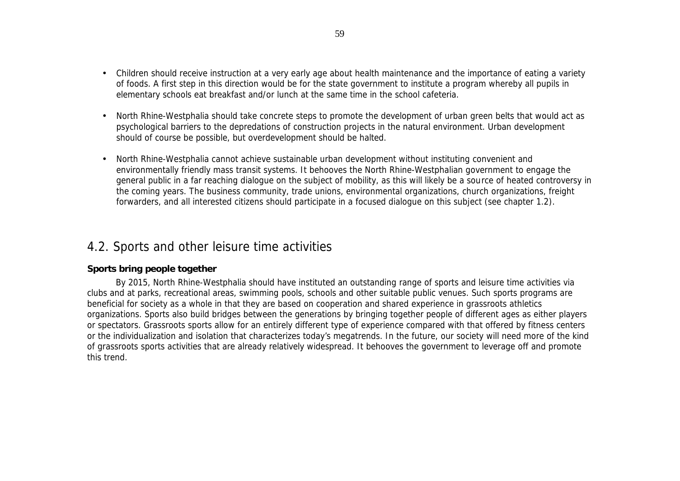- Children should receive instruction at a very early age about health maintenance and the importance of eating a variety of foods. A first step in this direction would be for the state government to institute a program whereby all pupils in elementary schools eat breakfast and/or lunch at the same time in the school cafeteria.
- North Rhine-Westphalia should take concrete steps to promote the development of urban green belts that would act as psychological barriers to the depredations of construction projects in the natural environment. Urban development should of course be possible, but overdevelopment should be halted.
- North Rhine-Westphalia cannot achieve sustainable urban development without instituting convenient and environmentally friendly mass transit systems. It behooves the North Rhine-Westphalian government to engage the general public in a far reaching dialogue on the subject of mobility, as this will likely be a source of heated controversy in the coming years. The business community, trade unions, environmental organizations, church organizations, freight forwarders, and all interested citizens should participate in a focused dialogue on this subject (see chapter 1.2).

## 4.2. Sports and other leisure time activities

#### **Sports bring people together**

By 2015, North Rhine-Westphalia should have instituted an outstanding range of sports and leisure time activities via clubs and at parks, recreational areas, swimming pools, schools and other suitable public venues. Such sports programs are beneficial for society as a whole in that they are based on cooperation and shared experience in grassroots athletics organizations. Sports also build bridges between the generations by bringing together people of different ages as either players or spectators. Grassroots sports allow for an entirely different type of experience compared with that offered by fitness centers or the individualization and isolation that characterizes today's megatrends. In the future, our society will need more of the kind of grassroots sports activities that are already relatively widespread. It behooves the government to leverage off and promote this trend.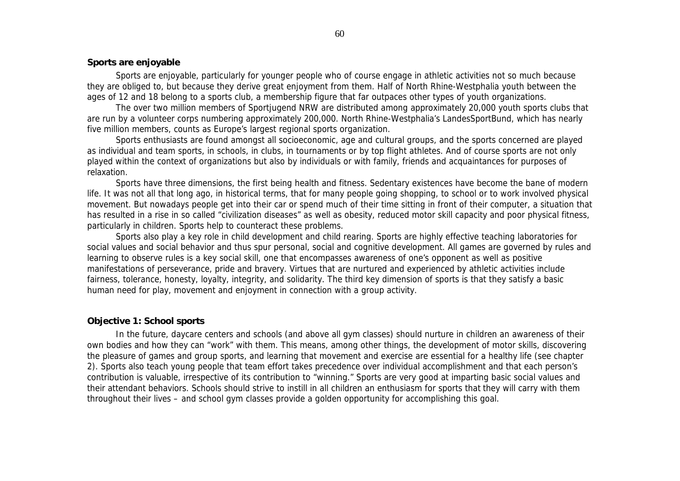#### **Sports are enjoyable**

Sports are enjoyable, particularly for younger people who of course engage in athletic activities not so much because they are obliged to, but because they derive great enjoyment from them. Half of North Rhine-Westphalia youth between the ages of 12 and 18 belong to a sports club, a membership figure that far outpaces other types of youth organizations.

The over two million members of Sportjugend NRW are distributed among approximately 20,000 youth sports clubs that are run by a volunteer corps numbering approximately 200,000. North Rhine-Westphalia's LandesSportBund, which has nearly five million members, counts as Europe's largest regional sports organization.

Sports enthusiasts are found amongst all socioeconomic, age and cultural groups, and the sports concerned are played as individual and team sports, in schools, in clubs, in tournaments or by top flight athletes. And of course sports are not only played within the context of organizations but also by individuals or with family, friends and acquaintances for purposes of relaxation.

Sports have three dimensions, the first being health and fitness. Sedentary existences have become the bane of modern life. It was not all that long ago, in historical terms, that for many people going shopping, to school or to work involved physical movement. But nowadays people get into their car or spend much of their time sitting in front of their computer, a situation that has resulted in a rise in so called "civilization diseases" as well as obesity, reduced motor skill capacity and poor physical fitness, particularly in children. Sports help to counteract these problems.

Sports also play a key role in child development and child rearing. Sports are highly effective teaching laboratories for social values and social behavior and thus spur personal, social and cognitive development. All games are governed by rules and learning to observe rules is a key social skill, one that encompasses awareness of one's opponent as well as positive manifestations of perseverance, pride and bravery. Virtues that are nurtured and experienced by athletic activities include fairness, tolerance, honesty, loyalty, integrity, and solidarity. The third key dimension of sports is that they satisfy a basic human need for play, movement and enjoyment in connection with a group activity.

#### **Objective 1: School sports**

In the future, daycare centers and schools (and above all gym classes) should nurture in children an awareness of their own bodies and how they can "work" with them. This means, among other things, the development of motor skills, discovering the pleasure of games and group sports, and learning that movement and exercise are essential for a healthy life (see chapter 2). Sports also teach young people that team effort takes precedence over individual accomplishment and that each person's contribution is valuable, irrespective of its contribution to "winning." Sports are very good at imparting basic social values and their attendant behaviors. Schools should strive to instill in all children an enthusiasm for sports that they will carry with them throughout their lives – and school gym classes provide a golden opportunity for accomplishing this goal.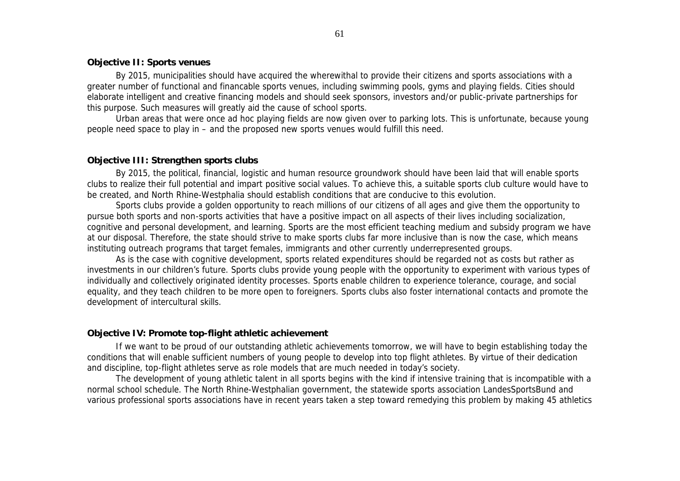#### **Objective II: Sports venues**

By 2015, municipalities should have acquired the wherewithal to provide their citizens and sports associations with a greater number of functional and financable sports venues, including swimming pools, gyms and playing fields. Cities should elaborate intelligent and creative financing models and should seek sponsors, investors and/or public-private partnerships for this purpose. Such measures will greatly aid the cause of school sports.

Urban areas that were once ad hoc playing fields are now given over to parking lots. This is unfortunate, because young people need space to play in – and the proposed new sports venues would fulfill this need.

#### **Objective III: Strengthen sports clubs**

By 2015, the political, financial, logistic and human resource groundwork should have been laid that will enable sports clubs to realize their full potential and impart positive social values. To achieve this, a suitable sports club culture would have to be created, and North Rhine-Westphalia should establish conditions that are conducive to this evolution.

Sports clubs provide a golden opportunity to reach millions of our citizens of all ages and give them the opportunity to pursue both sports and non-sports activities that have a positive impact on all aspects of their lives including socialization, cognitive and personal development, and learning. Sports are the most efficient teaching medium and subsidy program we have at our disposal. Therefore, the state should strive to make sports clubs far more inclusive than is now the case, which means instituting outreach programs that target females, immigrants and other currently underrepresented groups.

As is the case with cognitive development, sports related expenditures should be regarded not as costs but rather as investments in our children's future. Sports clubs provide young people with the opportunity to experiment with various types of individually and collectively originated identity processes. Sports enable children to experience tolerance, courage, and social equality, and they teach children to be more open to foreigners. Sports clubs also foster international contacts and promote the development of intercultural skills.

#### **Objective IV: Promote top-flight athletic achievement**

If we want to be proud of our outstanding athletic achievements tomorrow, we will have to begin establishing today the conditions that will enable sufficient numbers of young people to develop into top flight athletes. By virtue of their dedication and discipline, top-flight athletes serve as role models that are much needed in today's society.

The development of young athletic talent in all sports begins with the kind if intensive training that is incompatible with a normal school schedule. The North Rhine-Westphalian government, the statewide sports association LandesSportsBund and various professional sports associations have in recent years taken a step toward remedying this problem by making 45 athletics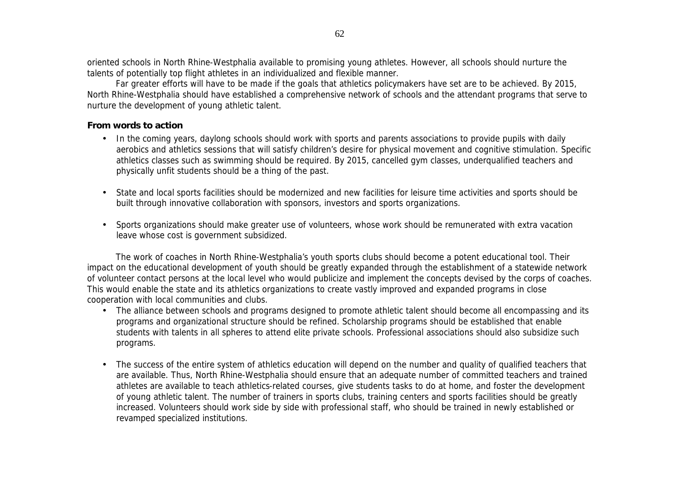oriented schools in North Rhine-Westphalia available to promising young athletes. However, all schools should nurture the talents of potentially top flight athletes in an individualized and flexible manner.

Far greater efforts will have to be made if the goals that athletics policymakers have set are to be achieved. By 2015, North Rhine-Westphalia should have established a comprehensive network of schools and the attendant programs that serve to nurture the development of young athletic talent.

#### **From words to action**

- In the coming years, daylong schools should work with sports and parents associations to provide pupils with daily aerobics and athletics sessions that will satisfy children's desire for physical movement and cognitive stimulation. Specific athletics classes such as swimming should be required. By 2015, cancelled gym classes, underqualified teachers and physically unfit students should be a thing of the past.
- State and local sports facilities should be modernized and new facilities for leisure time activities and sports should be built through innovative collaboration with sponsors, investors and sports organizations.
- Sports organizations should make greater use of volunteers, whose work should be remunerated with extra vacation leave whose cost is government subsidized.

The work of coaches in North Rhine-Westphalia's youth sports clubs should become a potent educational tool. Their impact on the educational development of youth should be greatly expanded through the establishment of a statewide network of volunteer contact persons at the local level who would publicize and implement the concepts devised by the corps of coaches. This would enable the state and its athletics organizations to create vastly improved and expanded programs in close cooperation with local communities and clubs.

- The alliance between schools and programs designed to promote athletic talent should become all encompassing and its programs and organizational structure should be refined. Scholarship programs should be established that enable students with talents in all spheres to attend elite private schools. Professional associations should also subsidize such programs.
- The success of the entire system of athletics education will depend on the number and quality of qualified teachers that are available. Thus, North Rhine-Westphalia should ensure that an adequate number of committed teachers and trained athletes are available to teach athletics-related courses, give students tasks to do at home, and foster the development of young athletic talent. The number of trainers in sports clubs, training centers and sports facilities should be greatly increased. Volunteers should work side by side with professional staff, who should be trained in newly established or revamped specialized institutions.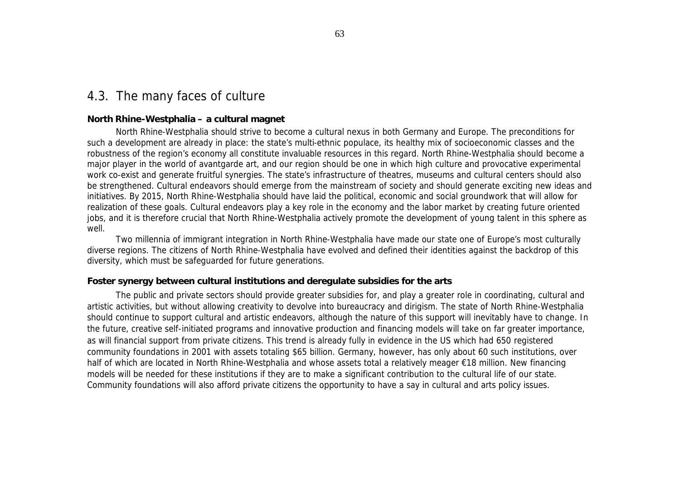## 4.3. The many faces of culture

#### **North Rhine-Westphalia – a cultural magnet**

North Rhine-Westphalia should strive to become a cultural nexus in both Germany and Europe. The preconditions for such a development are already in place: the state's multi-ethnic populace, its healthy mix of socioeconomic classes and the robustness of the region's economy all constitute invaluable resources in this regard. North Rhine-Westphalia should become a major player in the world of avantgarde art, and our region should be one in which high culture and provocative experimental work co-exist and generate fruitful synergies. The state's infrastructure of theatres, museums and cultural centers should also be strengthened. Cultural endeavors should emerge from the mainstream of society and should generate exciting new ideas and initiatives. By 2015, North Rhine-Westphalia should have laid the political, economic and social groundwork that will allow for realization of these goals. Cultural endeavors play a key role in the economy and the labor market by creating future oriented jobs, and it is therefore crucial that North Rhine-Westphalia actively promote the development of young talent in this sphere as well.

Two millennia of immigrant integration in North Rhine-Westphalia have made our state one of Europe's most culturally diverse regions. The citizens of North Rhine-Westphalia have evolved and defined their identities against the backdrop of this diversity, which must be safeguarded for future generations.

#### **Foster synergy between cultural institutions and deregulate subsidies for the arts**

The public and private sectors should provide greater subsidies for, and play a greater role in coordinating, cultural and artistic activities, but without allowing creativity to devolve into bureaucracy and dirigism. The state of North Rhine-Westphalia should continue to support cultural and artistic endeavors, although the nature of this support will inevitably have to change. In the future, creative self-initiated programs and innovative production and financing models will take on far greater importance, as will financial support from private citizens. This trend is already fully in evidence in the US which had 650 registered community foundations in 2001 with assets totaling \$65 billion. Germany, however, has only about 60 such institutions, over half of which are located in North Rhine-Westphalia and whose assets total a relatively meager €18 million. New financing models will be needed for these institutions if they are to make a significant contribution to the cultural life of our state. Community foundations will also afford private citizens the opportunity to have a say in cultural and arts policy issues.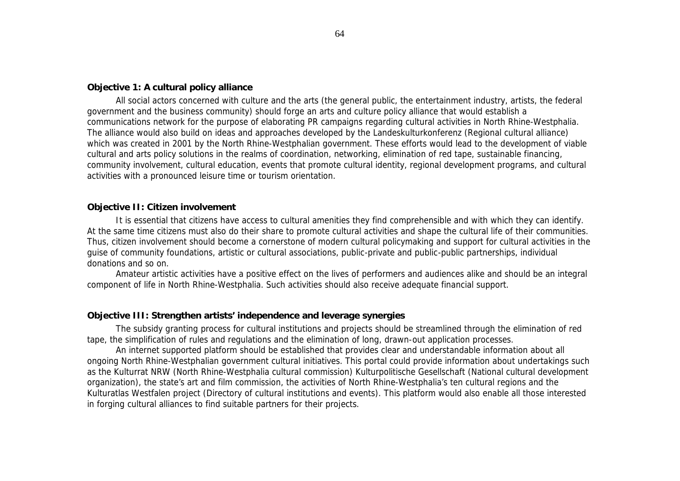#### **Objective 1: A cultural policy alliance**

All social actors concerned with culture and the arts (the general public, the entertainment industry, artists, the federal government and the business community) should forge an arts and culture policy alliance that would establish a communications network for the purpose of elaborating PR campaigns regarding cultural activities in North Rhine-Westphalia. The alliance would also build on ideas and approaches developed by the Landeskulturkonferenz (Regional cultural alliance) which was created in 2001 by the North Rhine-Westphalian government. These efforts would lead to the development of viable cultural and arts policy solutions in the realms of coordination, networking, elimination of red tape, sustainable financing, community involvement, cultural education, events that promote cultural identity, regional development programs, and cultural activities with a pronounced leisure time or tourism orientation.

#### **Objective II: Citizen involvement**

It is essential that citizens have access to cultural amenities they find comprehensible and with which they can identify. At the same time citizens must also do their share to promote cultural activities and shape the cultural life of their communities. Thus, citizen involvement should become a cornerstone of modern cultural policymaking and support for cultural activities in the guise of community foundations, artistic or cultural associations, public-private and public-public partnerships, individual donations and so on.

Amateur artistic activities have a positive effect on the lives of performers and audiences alike and should be an integral component of life in North Rhine-Westphalia. Such activities should also receive adequate financial support.

#### **Objective III: Strengthen artists' independence and leverage synergies**

The subsidy granting process for cultural institutions and projects should be streamlined through the elimination of red tape, the simplification of rules and regulations and the elimination of long, drawn-out application processes.

An internet supported platform should be established that provides clear and understandable information about all ongoing North Rhine-Westphalian government cultural initiatives. This portal could provide information about undertakings such as the Kulturrat NRW (North Rhine-Westphalia cultural commission) Kulturpolitische Gesellschaft (National cultural development organization), the state's art and film commission, the activities of North Rhine-Westphalia's ten cultural regions and the Kulturatlas Westfalen project (Directory of cultural institutions and events). This platform would also enable all those interested in forging cultural alliances to find suitable partners for their projects.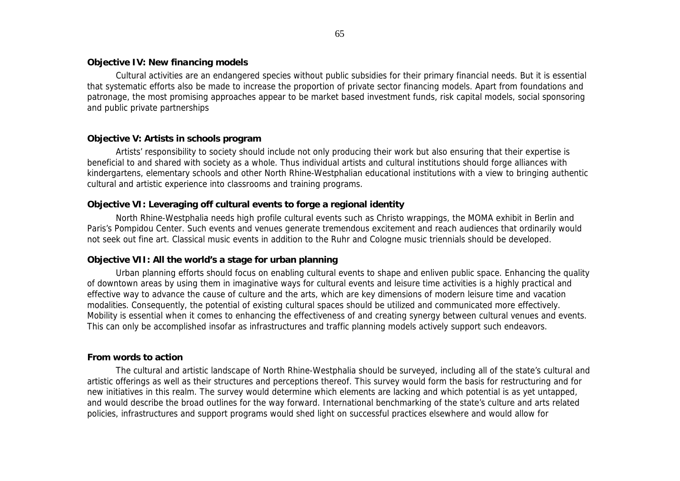#### **Objective IV: New financing models**

Cultural activities are an endangered species without public subsidies for their primary financial needs. But it is essential that systematic efforts also be made to increase the proportion of private sector financing models. Apart from foundations and patronage, the most promising approaches appear to be market based investment funds, risk capital models, social sponsoring and public private partnerships

#### **Objective V: Artists in schools program**

Artists' responsibility to society should include not only producing their work but also ensuring that their expertise is beneficial to and shared with society as a whole. Thus individual artists and cultural institutions should forge alliances with kindergartens, elementary schools and other North Rhine-Westphalian educational institutions with a view to bringing authentic cultural and artistic experience into classrooms and training programs.

#### **Objective VI: Leveraging off cultural events to forge a regional identity**

North Rhine-Westphalia needs high profile cultural events such as Christo wrappings, the MOMA exhibit in Berlin and Paris's Pompidou Center. Such events and venues generate tremendous excitement and reach audiences that ordinarily would not seek out fine art. Classical music events in addition to the Ruhr and Cologne music triennials should be developed.

#### **Objective VII: All the world's a stage for urban planning**

Urban planning efforts should focus on enabling cultural events to shape and enliven public space. Enhancing the quality of downtown areas by using them in imaginative ways for cultural events and leisure time activities is a highly practical and effective way to advance the cause of culture and the arts, which are key dimensions of modern leisure time and vacation modalities. Consequently, the potential of existing cultural spaces should be utilized and communicated more effectively. Mobility is essential when it comes to enhancing the effectiveness of and creating synergy between cultural venues and events. This can only be accomplished insofar as infrastructures and traffic planning models actively support such endeavors.

#### **From words to action**

The cultural and artistic landscape of North Rhine-Westphalia should be surveyed, including all of the state's cultural and artistic offerings as well as their structures and perceptions thereof. This survey would form the basis for restructuring and for new initiatives in this realm. The survey would determine which elements are lacking and which potential is as yet untapped, and would describe the broad outlines for the way forward. International benchmarking of the state's culture and arts related policies, infrastructures and support programs would shed light on successful practices elsewhere and would allow for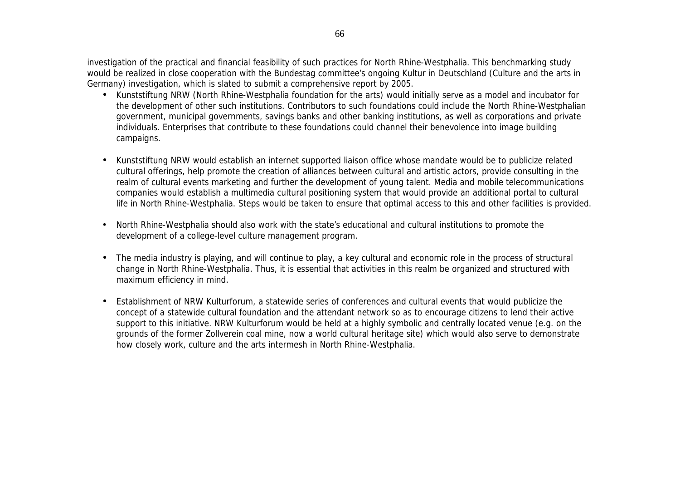investigation of the practical and financial feasibility of such practices for North Rhine-Westphalia. This benchmarking study would be realized in close cooperation with the Bundestag committee's ongoing Kultur in Deutschland (Culture and the arts in Germany) investigation, which is slated to submit a comprehensive report by 2005.

- Kunststiftung NRW (North Rhine-Westphalia foundation for the arts) would initially serve as a model and incubator for the development of other such institutions. Contributors to such foundations could include the North Rhine-Westphalian government, municipal governments, savings banks and other banking institutions, as well as corporations and private individuals. Enterprises that contribute to these foundations could channel their benevolence into image building campaigns.
- Kunststiftung NRW would establish an internet supported liaison office whose mandate would be to publicize related cultural offerings, help promote the creation of alliances between cultural and artistic actors, provide consulting in the realm of cultural events marketing and further the development of young talent. Media and mobile telecommunications companies would establish a multimedia cultural positioning system that would provide an additional portal to cultural life in North Rhine-Westphalia. Steps would be taken to ensure that optimal access to this and other facilities is provided.
- North Rhine-Westphalia should also work with the state's educational and cultural institutions to promote the development of a college-level culture management program.
- The media industry is playing, and will continue to play, a key cultural and economic role in the process of structural change in North Rhine-Westphalia. Thus, it is essential that activities in this realm be organized and structured with maximum efficiency in mind.
- Establishment of NRW Kulturforum, a statewide series of conferences and cultural events that would publicize the concept of a statewide cultural foundation and the attendant network so as to encourage citizens to lend their active support to this initiative. NRW Kulturforum would be held at a highly symbolic and centrally located venue (e.g. on the grounds of the former Zollverein coal mine, now a world cultural heritage site) which would also serve to demonstrate how closely work, culture and the arts intermesh in North Rhine-Westphalia.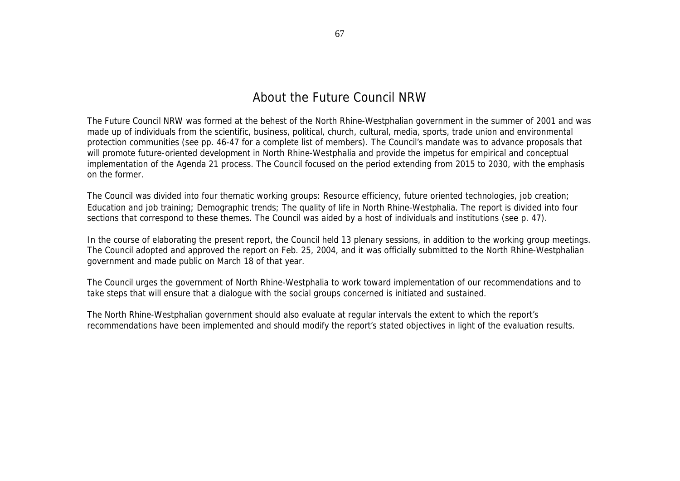The Future Council NRW was formed at the behest of the North Rhine-Westphalian government in the summer of 2001 and was made up of individuals from the scientific, business, political, church, cultural, media, sports, trade union and environmental protection communities (see pp. 46-47 for a complete list of members). The Council's mandate was to advance proposals that will promote future-oriented development in North Rhine-Westphalia and provide the impetus for empirical and conceptual implementation of the Agenda 21 process. The Council focused on the period extending from 2015 to 2030, with the emphasis on the former.

The Council was divided into four thematic working groups: Resource efficiency, future oriented technologies, job creation; Education and job training; Demographic trends; The quality of life in North Rhine-Westphalia. The report is divided into four sections that correspond to these themes. The Council was aided by a host of individuals and institutions (see p. 47).

In the course of elaborating the present report, the Council held 13 plenary sessions, in addition to the working group meetings. The Council adopted and approved the report on Feb. 25, 2004, and it was officially submitted to the North Rhine-Westphalian government and made public on March 18 of that year.

The Council urges the government of North Rhine-Westphalia to work toward implementation of our recommendations and to take steps that will ensure that a dialogue with the social groups concerned is initiated and sustained.

The North Rhine-Westphalian government should also evaluate at regular intervals the extent to which the report's recommendations have been implemented and should modify the report's stated objectives in light of the evaluation results.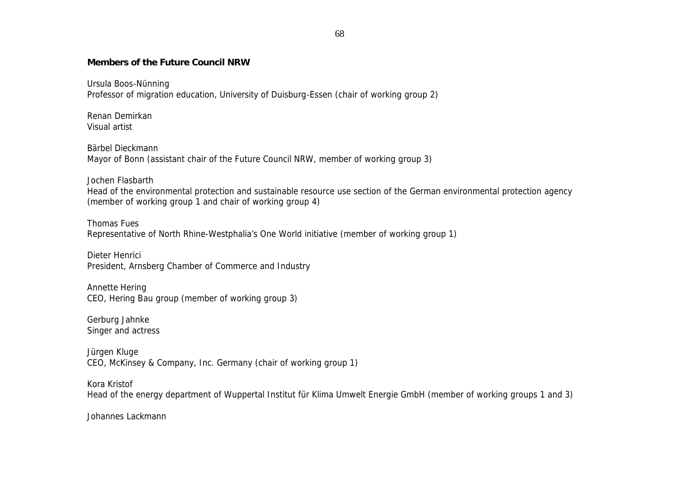#### **Members of the Future Council NRW**

Ursula Boos-Nünning Professor of migration education, University of Duisburg-Essen (chair of working group 2)

Renan Demirkan Visual artist

Bärbel Dieckmann Mayor of Bonn (assistant chair of the Future Council NRW, member of working group 3)

Jochen Flasbarth

Head of the environmental protection and sustainable resource use section of the German environmental protection agency (member of working group 1 and chair of working group 4)

Thomas Fues Representative of North Rhine-Westphalia's One World initiative (member of working group 1)

Dieter Henrici President, Arnsberg Chamber of Commerce and Industry

Annette Hering CEO, Hering Bau group (member of working group 3)

Gerburg Jahnke Singer and actress

Jürgen Kluge CEO, McKinsey & Company, Inc. Germany (chair of working group 1)

Kora Kristof Head of the energy department of Wuppertal Institut für Klima Umwelt Energie GmbH (member of working groups 1 and 3)

Johannes Lackmann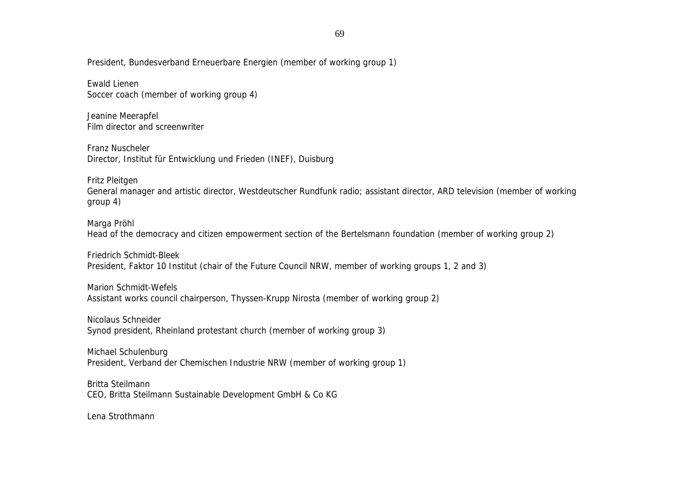#### President, Bundesverband Erneuerbare Energien (member of working group 1)

Ewald Lienen Soccer coach (member of working group 4)

Jeanine Meerapfel Film director and screenwriter

Franz Nuscheler Director, Institut für Entwicklung und Frieden (INEF), Duisburg

Fritz Pleitgen

General manager and artistic director, Westdeutscher Rundfunk radio; assistant director, ARD television (member of working group 4)

Marga Pröhl

Head of the democracy and citizen empowerment section of the Bertelsmann foundation (member of working group 2)

Friedrich Schmidt-Bleek President, Faktor 10 Institut (chair of the Future Council NRW, member of working groups 1, 2 and 3)

Marion Schmidt-Wefels Assistant works council chairperson, Thyssen-Krupp Nirosta (member of working group 2)

Nicolaus Schneider Synod president, Rheinland protestant church (member of working group 3)

Michael Schulenburg President, Verband der Chemischen Industrie NRW (member of working group 1)

Britta Steilmann CEO, Britta Steilmann Sustainable Development GmbH & Co KG

Lena Strothmann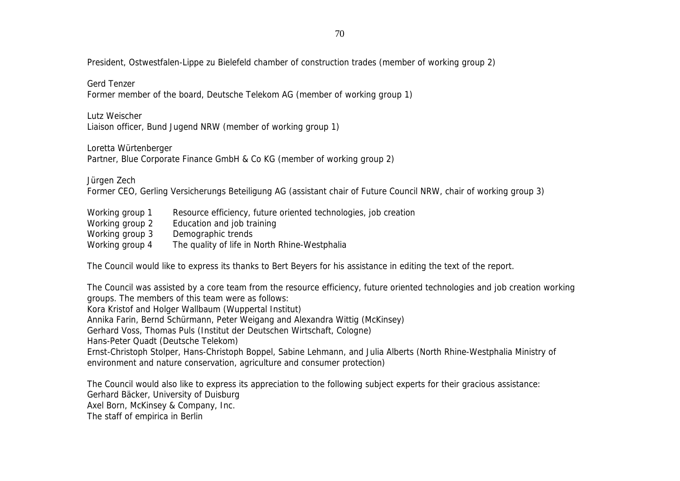70

President, Ostwestfalen-Lippe zu Bielefeld chamber of construction trades (member of working group 2)

Gerd Tenzer

Former member of the board, Deutsche Telekom AG (member of working group 1)

Lutz Weischer

Liaison officer, Bund Jugend NRW (member of working group 1)

#### Loretta Würtenberger

Partner, Blue Corporate Finance GmbH & Co KG (member of working group 2)

Jürgen Zech

Former CEO, Gerling Versicherungs Beteiligung AG (assistant chair of Future Council NRW, chair of working group 3)

- Working group 1 Resource efficiency, future oriented technologies, job creation
- Working group 2 Education and job training
- Working group 3 Demographic trends
- Working group 4 The quality of life in North Rhine-Westphalia

The Council would like to express its thanks to Bert Beyers for his assistance in editing the text of the report.

The Council was assisted by a core team from the resource efficiency, future oriented technologies and job creation working groups. The members of this team were as follows: Kora Kristof and Holger Wallbaum (Wuppertal Institut) Annika Farin, Bernd Schürmann, Peter Weigang and Alexandra Wittig (McKinsey) Gerhard Voss, Thomas Puls (Institut der Deutschen Wirtschaft, Cologne) Hans-Peter Quadt (Deutsche Telekom) Ernst-Christoph Stolper, Hans-Christoph Boppel, Sabine Lehmann, and Julia Alberts (North Rhine-Westphalia Ministry of environment and nature conservation, agriculture and consumer protection)

The Council would also like to express its appreciation to the following subject experts for their gracious assistance: Gerhard Bäcker, University of Duisburg Axel Born, McKinsey & Company, Inc. The staff of empirica in Berlin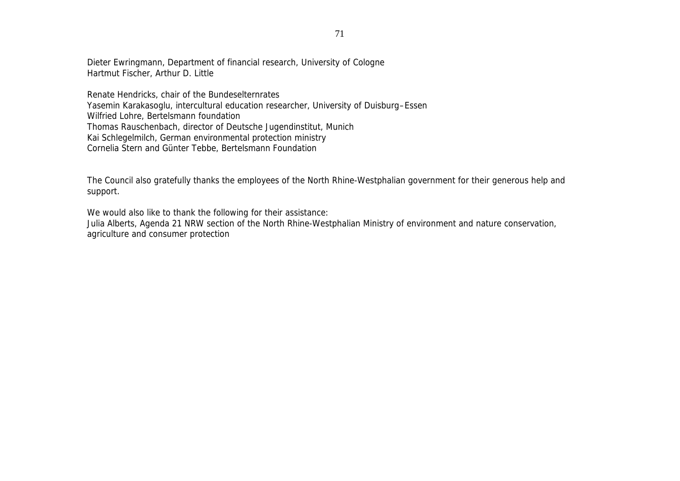Dieter Ewringmann, Department of financial research, University of Cologne Hartmut Fischer, Arthur D. Little

Renate Hendricks, chair of the Bundeselternrates Yasemin Karakasoglu, intercultural education researcher, University of Duisburg–Essen Wilfried Lohre, Bertelsmann foundation Thomas Rauschenbach, director of Deutsche Jugendinstitut, Munich Kai Schlegelmilch, German environmental protection ministry Cornelia Stern and Günter Tebbe, Bertelsmann Foundation

The Council also gratefully thanks the employees of the North Rhine-Westphalian government for their generous help and support.

We would also like to thank the following for their assistance:

Julia Alberts, Agenda 21 NRW section of the North Rhine-Westphalian Ministry of environment and nature conservation, agriculture and consumer protection